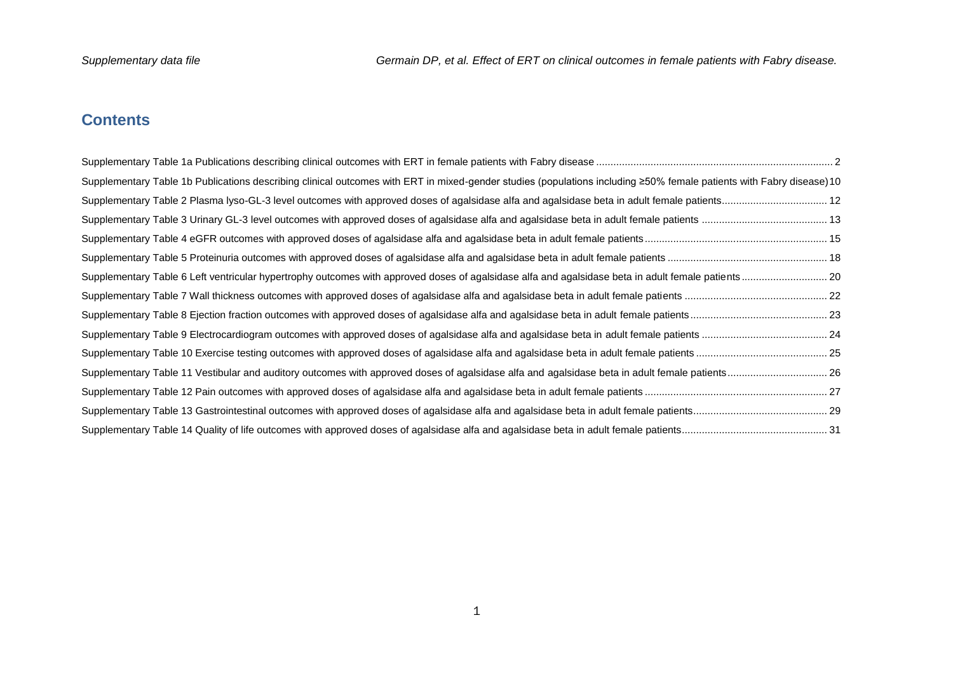# **Contents**

| Supplementary Table 1b Publications describing clinical outcomes with ERT in mixed-gender studies (populations including ≥50% female patients with Fabry disease) 10 |
|----------------------------------------------------------------------------------------------------------------------------------------------------------------------|
|                                                                                                                                                                      |
|                                                                                                                                                                      |
|                                                                                                                                                                      |
|                                                                                                                                                                      |
|                                                                                                                                                                      |
|                                                                                                                                                                      |
|                                                                                                                                                                      |
|                                                                                                                                                                      |
|                                                                                                                                                                      |
|                                                                                                                                                                      |
|                                                                                                                                                                      |
|                                                                                                                                                                      |
|                                                                                                                                                                      |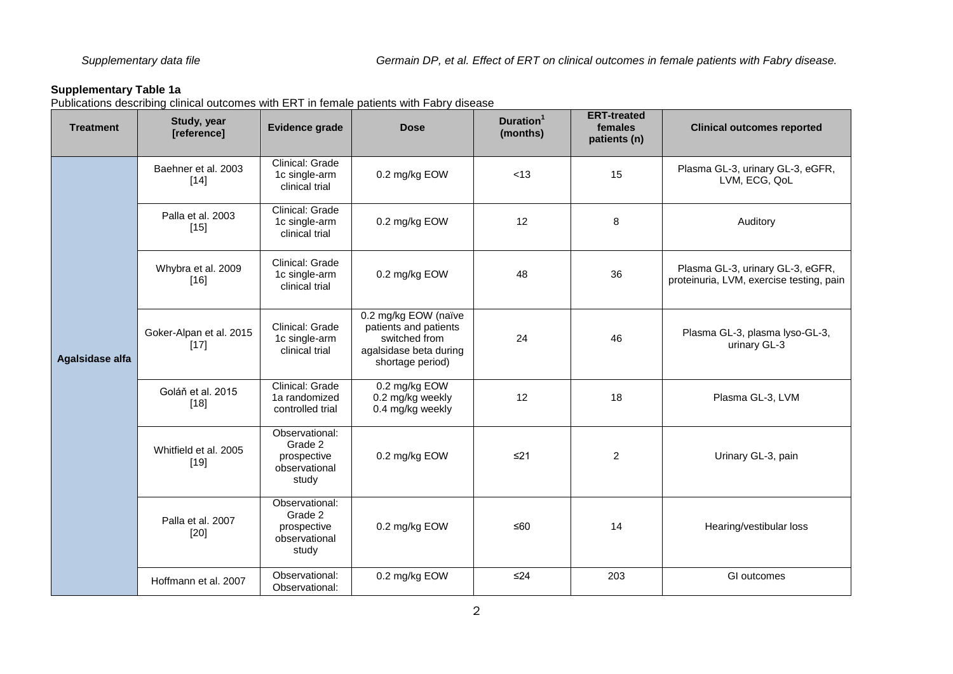<span id="page-1-0"></span>Publications describing clinical outcomes with ERT in female patients with Fabry disease

| <b>Treatment</b> | Study, year<br>[reference]        | <b>Evidence grade</b>                                              | <b>Dose</b>                                                                                                  | Duration <sup>1</sup><br>(months) | <b>ERT-treated</b><br>females<br>patients (n) | <b>Clinical outcomes reported</b>                                            |
|------------------|-----------------------------------|--------------------------------------------------------------------|--------------------------------------------------------------------------------------------------------------|-----------------------------------|-----------------------------------------------|------------------------------------------------------------------------------|
|                  | Baehner et al. 2003<br>$[14]$     | Clinical: Grade<br>1c single-arm<br>clinical trial                 | 0.2 mg/kg EOW                                                                                                | < 13                              | 15                                            | Plasma GL-3, urinary GL-3, eGFR,<br>LVM, ECG, QoL                            |
|                  | Palla et al. 2003<br>$[15]$       | Clinical: Grade<br>1c single-arm<br>clinical trial                 | 0.2 mg/kg EOW                                                                                                | 12                                | 8                                             | Auditory                                                                     |
|                  | Whybra et al. 2009<br>$[16]$      | Clinical: Grade<br>1c single-arm<br>clinical trial                 | 0.2 mg/kg EOW                                                                                                | 48                                | 36                                            | Plasma GL-3, urinary GL-3, eGFR,<br>proteinuria, LVM, exercise testing, pain |
| Agalsidase alfa  | Goker-Alpan et al. 2015<br>$[17]$ | Clinical: Grade<br>1c single-arm<br>clinical trial                 | 0.2 mg/kg EOW (naïve<br>patients and patients<br>switched from<br>agalsidase beta during<br>shortage period) | 24                                | 46                                            | Plasma GL-3, plasma lyso-GL-3,<br>urinary GL-3                               |
|                  | Goláň et al. 2015<br>$[18]$       | Clinical: Grade<br>1a randomized<br>controlled trial               | 0.2 mg/kg EOW<br>0.2 mg/kg weekly<br>0.4 mg/kg weekly                                                        | 12                                | 18                                            | Plasma GL-3, LVM                                                             |
|                  | Whitfield et al. 2005<br>$[19]$   | Observational:<br>Grade 2<br>prospective<br>observational<br>study | 0.2 mg/kg EOW                                                                                                | $≤21$                             | 2                                             | Urinary GL-3, pain                                                           |
|                  | Palla et al. 2007<br>$[20]$       | Observational:<br>Grade 2<br>prospective<br>observational<br>study | 0.2 mg/kg EOW                                                                                                | ≤60                               | 14                                            | Hearing/vestibular loss                                                      |
|                  | Hoffmann et al. 2007              | Observational:<br>Observational:                                   | 0.2 mg/kg EOW                                                                                                | $\leq$ 24                         | 203                                           | GI outcomes                                                                  |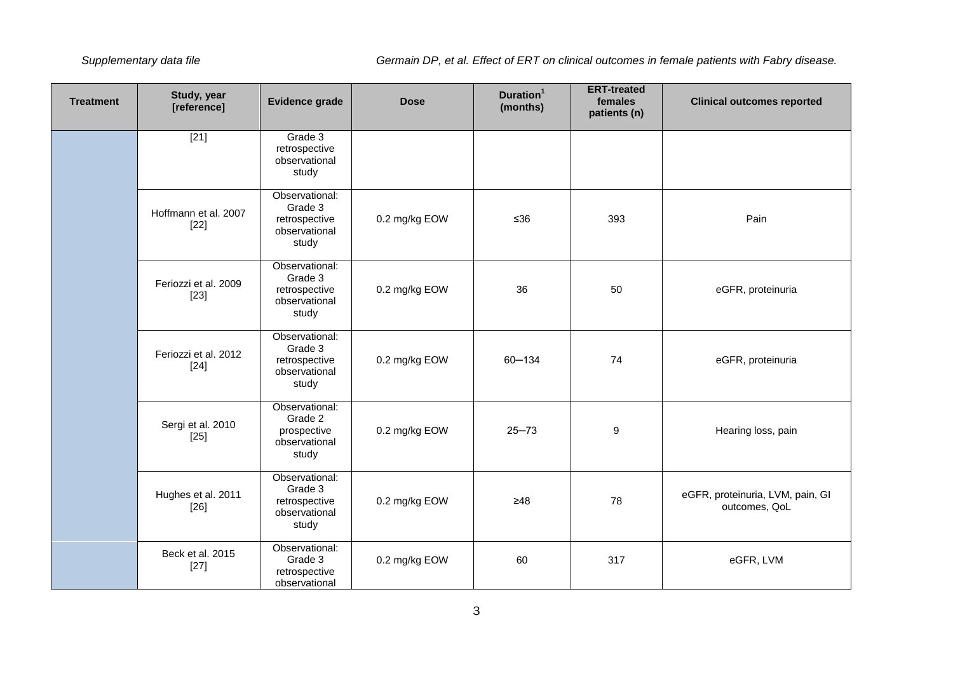| <b>Treatment</b> | Study, year<br>[reference]     | <b>Evidence grade</b>                                                                 | <b>Dose</b>   | Duration <sup>1</sup><br>(months) | <b>ERT-treated</b><br>females<br>patients (n) | <b>Clinical outcomes reported</b>                 |
|------------------|--------------------------------|---------------------------------------------------------------------------------------|---------------|-----------------------------------|-----------------------------------------------|---------------------------------------------------|
|                  | $[21]$                         | Grade 3<br>retrospective<br>observational<br>study                                    |               |                                   |                                               |                                                   |
|                  | Hoffmann et al. 2007<br>$[22]$ | Observational:<br>Grade 3<br>retrospective<br>observational<br>study                  | 0.2 mg/kg EOW | $≤36$                             | 393                                           | Pain                                              |
|                  | Feriozzi et al. 2009<br>$[23]$ | Observational:<br>Grade 3<br>retrospective<br>observational<br>study                  | 0.2 mg/kg EOW | 36                                | 50                                            | eGFR, proteinuria                                 |
|                  | Feriozzi et al. 2012<br>$[24]$ | Observational:<br>Grade 3<br>retrospective<br>observational<br>study                  | 0.2 mg/kg EOW | $60 - 134$                        | 74                                            | eGFR, proteinuria                                 |
|                  | Sergi et al. 2010<br>$[25]$    | Observational:<br>Grade 2<br>prospective<br>observational<br>study                    | 0.2 mg/kg EOW | $25 - 73$                         | 9                                             | Hearing loss, pain                                |
|                  | Hughes et al. 2011<br>$[26]$   | Observational:<br>Grade 3<br>0.2 mg/kg EOW<br>retrospective<br>observational<br>study |               | $\geq 48$                         | 78                                            | eGFR, proteinuria, LVM, pain, GI<br>outcomes, QoL |
|                  | Beck et al. 2015<br>$[27]$     | Observational:<br>Grade 3<br>retrospective<br>observational                           | 0.2 mg/kg EOW | 60                                | 317                                           | eGFR, LVM                                         |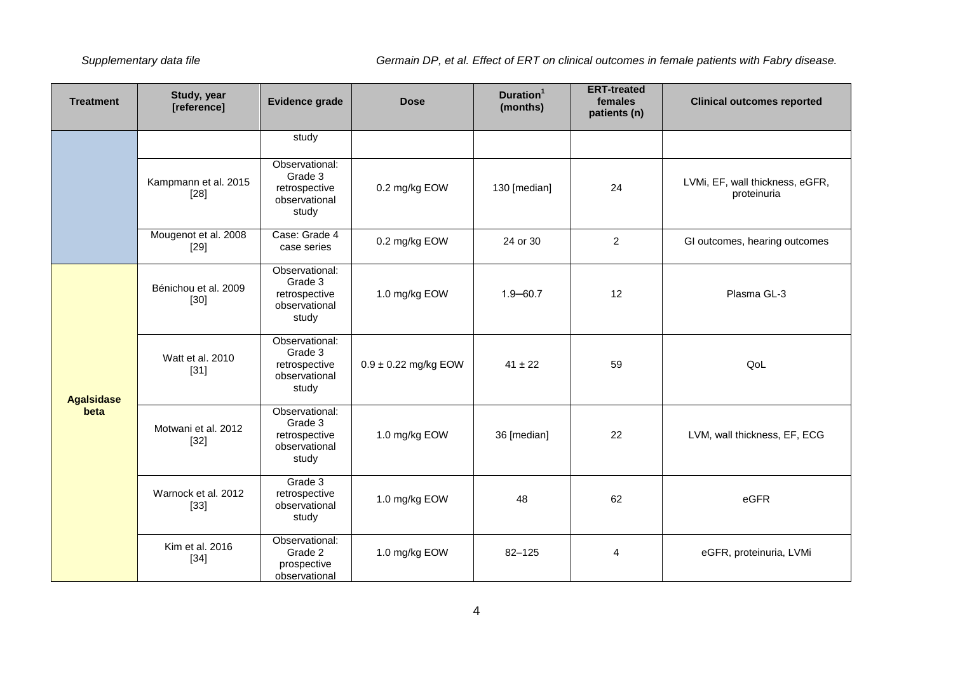| <b>Treatment</b>  | Study, year<br>[reference]     | Evidence grade                                                       | <b>Dose</b>              | Duration <sup>1</sup><br>(months)                                                                                                                                                                                                                   | <b>ERT-treated</b><br>females<br>patients (n) | <b>Clinical outcomes reported</b>              |
|-------------------|--------------------------------|----------------------------------------------------------------------|--------------------------|-----------------------------------------------------------------------------------------------------------------------------------------------------------------------------------------------------------------------------------------------------|-----------------------------------------------|------------------------------------------------|
|                   |                                | study                                                                |                          |                                                                                                                                                                                                                                                     |                                               |                                                |
|                   | Kampmann et al. 2015<br>$[28]$ | Observational:<br>Grade 3<br>retrospective<br>observational<br>study | 0.2 mg/kg EOW            | 130 [median]                                                                                                                                                                                                                                        | 24                                            | LVMi, EF, wall thickness, eGFR,<br>proteinuria |
|                   | Mougenot et al. 2008<br>$[29]$ | Case: Grade 4<br>case series                                         | 0.2 mg/kg EOW            | $\overline{2}$<br>24 or 30<br>GI outcomes, hearing outcomes<br>12<br>Plasma GL-3<br>$1.9 - 60.7$<br>$41 \pm 22$<br>59<br>QoL<br>22<br>36 [median]<br>LVM, wall thickness, EF, ECG<br>62<br>eGFR<br>48<br>$82 - 125$<br>eGFR, proteinuria, LVMi<br>4 |                                               |                                                |
|                   | Bénichou et al. 2009<br>$[30]$ | Observational:<br>Grade 3<br>retrospective<br>observational<br>study | 1.0 mg/kg EOW            |                                                                                                                                                                                                                                                     |                                               |                                                |
| <b>Agalsidase</b> | Watt et al. 2010<br>$[31]$     | Observational:<br>Grade 3<br>retrospective<br>observational<br>study | $0.9 \pm 0.22$ mg/kg EOW |                                                                                                                                                                                                                                                     |                                               |                                                |
| beta              | Motwani et al. 2012<br>$[32]$  | Observational:<br>Grade 3<br>retrospective<br>observational<br>study | 1.0 mg/kg EOW            |                                                                                                                                                                                                                                                     |                                               |                                                |
|                   | Warnock et al. 2012<br>$[33]$  | Grade 3<br>retrospective<br>observational<br>study                   | 1.0 mg/kg EOW            |                                                                                                                                                                                                                                                     |                                               |                                                |
|                   | Kim et al. 2016<br>$[34]$      | Observational:<br>Grade 2<br>prospective<br>observational            | 1.0 mg/kg EOW            |                                                                                                                                                                                                                                                     |                                               |                                                |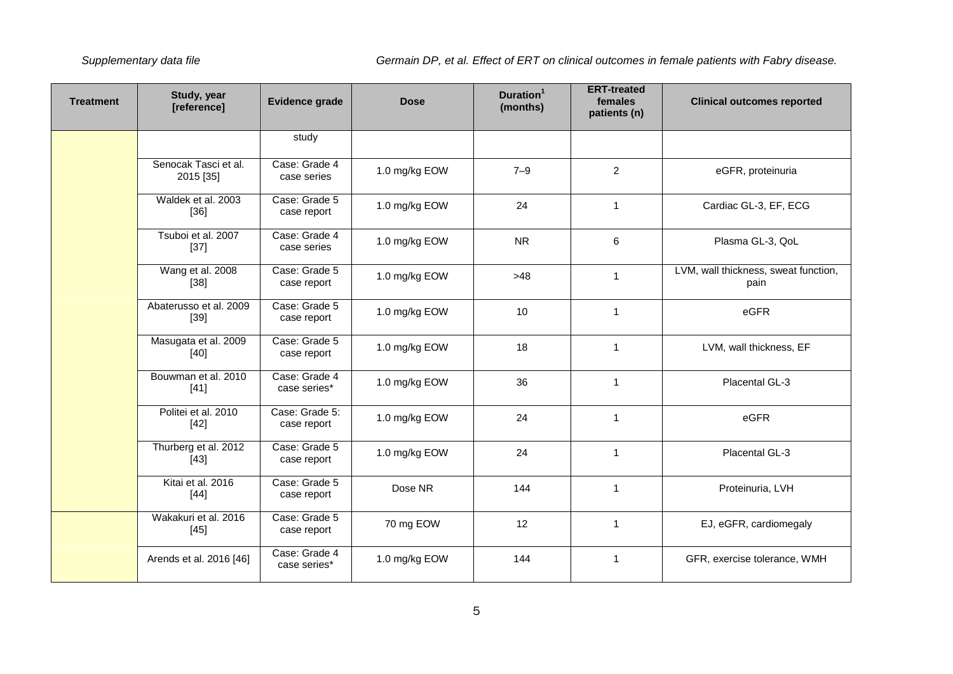| <b>Treatment</b> | Study, year<br>[reference]        | <b>Evidence grade</b>         | <b>Dose</b>   | Duration <sup>1</sup><br>(months) | <b>ERT-treated</b><br>females<br>patients (n) | <b>Clinical outcomes reported</b>            |
|------------------|-----------------------------------|-------------------------------|---------------|-----------------------------------|-----------------------------------------------|----------------------------------------------|
|                  |                                   | study                         |               |                                   |                                               |                                              |
|                  | Senocak Tasci et al.<br>2015 [35] | Case: Grade 4<br>case series  | 1.0 mg/kg EOW | $7 - 9$                           | $\overline{2}$                                | eGFR, proteinuria                            |
|                  | Waldek et al. 2003<br>$[36]$      | Case: Grade 5<br>case report  | 1.0 mg/kg EOW | 24                                | 1                                             | Cardiac GL-3, EF, ECG                        |
|                  | Tsuboi et al. 2007<br>$[37]$      | Case: Grade 4<br>case series  | 1.0 mg/kg EOW | <b>NR</b>                         | 6                                             | Plasma GL-3, QoL                             |
|                  | Wang et al. 2008<br>$[38]$        | Case: Grade 5<br>case report  | 1.0 mg/kg EOW | $>48$                             | 1                                             | LVM, wall thickness, sweat function,<br>pain |
|                  | Abaterusso et al. 2009<br>$[39]$  | Case: Grade 5<br>case report  | 1.0 mg/kg EOW | 10                                | $\mathbf{1}$                                  | eGFR                                         |
|                  | Masugata et al. 2009<br>$[40]$    | Case: Grade 5<br>case report  | 1.0 mg/kg EOW | 18                                | $\mathbf{1}$                                  | LVM, wall thickness, EF                      |
|                  | Bouwman et al. 2010<br>$[41]$     | Case: Grade 4<br>case series* | 1.0 mg/kg EOW | 36                                | 1                                             | Placental GL-3                               |
|                  | Politei et al. 2010<br>$[42]$     | Case: Grade 5:<br>case report | 1.0 mg/kg EOW | 24                                | $\mathbf{1}$                                  | eGFR                                         |
|                  | Thurberg et al. 2012<br>$[43]$    | Case: Grade 5<br>case report  | 1.0 mg/kg EOW | 24                                | 1                                             | Placental GL-3                               |
|                  | Kitai et al. 2016<br>$[44]$       | Case: Grade 5<br>case report  | Dose NR       | 144                               | 1                                             | Proteinuria, LVH                             |
|                  | Wakakuri et al. 2016<br>$[45]$    | Case: Grade 5<br>case report  | 70 mg EOW     | 12                                | $\mathbf{1}$                                  | EJ, eGFR, cardiomegaly                       |
|                  | Arends et al. 2016 [46]           | Case: Grade 4<br>case series* | 1.0 mg/kg EOW | 144                               | $\mathbf{1}$                                  | GFR, exercise tolerance, WMH                 |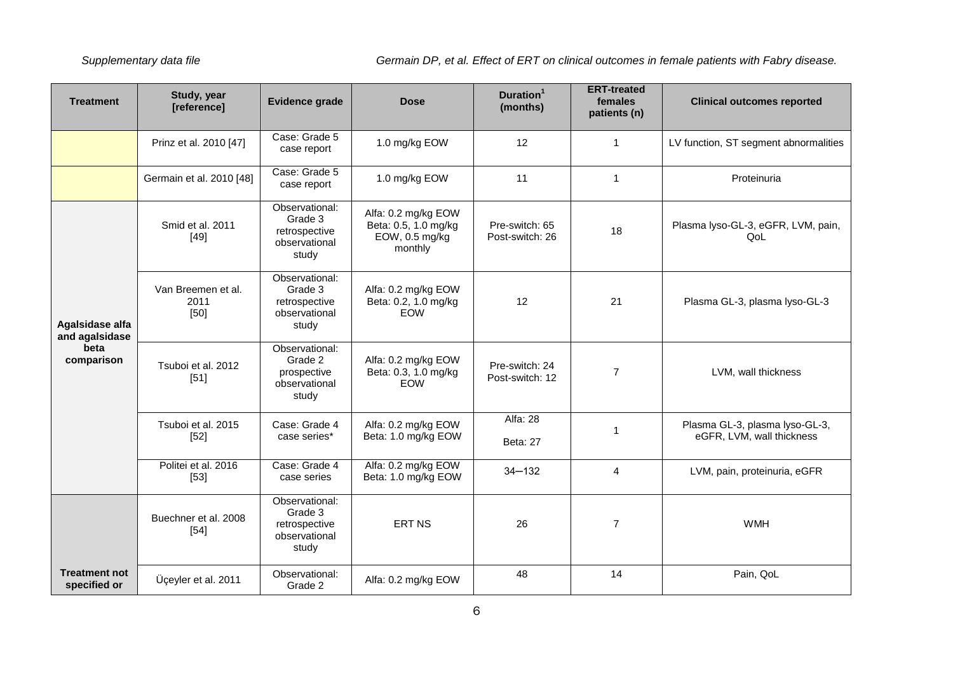| <b>Treatment</b>                     | Study, year<br>[reference]           | Evidence grade                                                       | <b>Dose</b>                                                              | Duration <sup>1</sup><br>(months)  | <b>ERT-treated</b><br>females<br>patients (n) | <b>Clinical outcomes reported</b>                           |
|--------------------------------------|--------------------------------------|----------------------------------------------------------------------|--------------------------------------------------------------------------|------------------------------------|-----------------------------------------------|-------------------------------------------------------------|
|                                      | Prinz et al. 2010 [47]               | Case: Grade 5<br>case report                                         | 1.0 mg/kg EOW                                                            | 12                                 | $\mathbf{1}$                                  | LV function, ST segment abnormalities                       |
|                                      | Germain et al. 2010 [48]             | Case: Grade 5<br>case report                                         | 1.0 mg/kg EOW                                                            | 11                                 | $\mathbf{1}$                                  | Proteinuria                                                 |
|                                      | Smid et al. 2011<br>$[49]$           | Observational:<br>Grade 3<br>retrospective<br>observational<br>study | Alfa: 0.2 mg/kg EOW<br>Beta: 0.5, 1.0 mg/kg<br>EOW, 0.5 mg/kg<br>monthly | Pre-switch: 65<br>Post-switch: 26  | 18                                            | Plasma lyso-GL-3, eGFR, LVM, pain,<br>QoL                   |
| Agalsidase alfa<br>and agalsidase    | Van Breemen et al.<br>2011<br>$[50]$ | Observational:<br>Grade 3<br>retrospective<br>observational<br>study | Alfa: 0.2 mg/kg EOW<br>Beta: 0.2, 1.0 mg/kg<br>EOW                       | 12                                 | 21                                            | Plasma GL-3, plasma lyso-GL-3                               |
| beta<br>comparison                   | Tsuboi et al. 2012<br>$[51]$         | Observational:<br>Grade 2<br>prospective<br>observational<br>study   | Alfa: 0.2 mg/kg EOW<br>Beta: 0.3, 1.0 mg/kg<br>EOW                       | Pre-switch: 24<br>Post-switch: 12  | $\overline{7}$                                | LVM, wall thickness                                         |
|                                      | Tsuboi et al. 2015<br>$[52]$         | Case: Grade 4<br>case series*                                        | Alfa: 0.2 mg/kg EOW<br>Beta: 1.0 mg/kg EOW                               | <b>Alfa: 28</b><br><b>Beta: 27</b> | $\mathbf 1$                                   | Plasma GL-3, plasma lyso-GL-3,<br>eGFR, LVM, wall thickness |
|                                      | Politei et al. 2016<br>$[53]$        | Case: Grade 4<br>case series                                         | Alfa: 0.2 mg/kg EOW<br>Beta: 1.0 mg/kg EOW                               | $34 - 132$                         | $\overline{4}$                                | LVM, pain, proteinuria, eGFR                                |
|                                      | Buechner et al. 2008<br>$[54]$       | Observational:<br>Grade 3<br>retrospective<br>observational<br>study | <b>ERT NS</b>                                                            | 26                                 | $\overline{7}$                                | <b>WMH</b>                                                  |
| <b>Treatment not</b><br>specified or | Üçeyler et al. 2011                  | Observational:<br>Grade 2                                            | Alfa: 0.2 mg/kg EOW                                                      | 48                                 | 14                                            | Pain, QoL                                                   |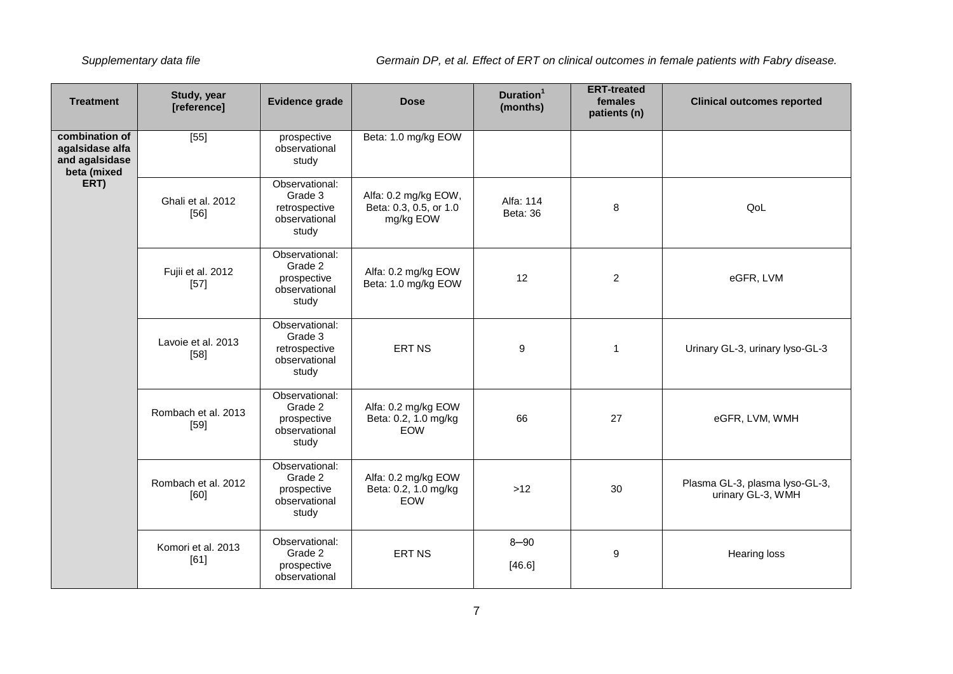| <b>Treatment</b>                                                   | Study, year<br>[reference]    | Evidence grade                                                       | <b>Dose</b>                                                 | Duration <sup>1</sup><br>(months) | <b>ERT-treated</b><br>females<br>patients (n) | <b>Clinical outcomes reported</b>                   |
|--------------------------------------------------------------------|-------------------------------|----------------------------------------------------------------------|-------------------------------------------------------------|-----------------------------------|-----------------------------------------------|-----------------------------------------------------|
| combination of<br>agalsidase alfa<br>and agalsidase<br>beta (mixed | [55]                          | prospective<br>observational<br>study                                | Beta: 1.0 mg/kg EOW                                         |                                   |                                               |                                                     |
| ERT)                                                               | Ghali et al. 2012<br>$[56]$   | Observational:<br>Grade 3<br>retrospective<br>observational<br>study | Alfa: 0.2 mg/kg EOW,<br>Beta: 0.3, 0.5, or 1.0<br>mg/kg EOW | Alfa: 114<br>Beta: 36             | 8                                             | QoL                                                 |
|                                                                    | Fujii et al. 2012<br>$[57]$   | Observational:<br>Grade 2<br>prospective<br>observational<br>study   | Alfa: 0.2 mg/kg EOW<br>Beta: 1.0 mg/kg EOW                  | 12                                | $\overline{2}$                                | eGFR, LVM                                           |
|                                                                    | Lavoie et al. 2013<br>$[58]$  | Observational:<br>Grade 3<br>retrospective<br>observational<br>study | <b>ERT NS</b>                                               | 9                                 | $\mathbf{1}$                                  | Urinary GL-3, urinary lyso-GL-3                     |
|                                                                    | Rombach et al. 2013<br>$[59]$ | Observational:<br>Grade 2<br>prospective<br>observational<br>study   | Alfa: 0.2 mg/kg EOW<br>Beta: 0.2, 1.0 mg/kg<br><b>EOW</b>   | 66                                | 27                                            | eGFR, LVM, WMH                                      |
|                                                                    | Rombach et al. 2012<br>[60]   | Observational:<br>Grade 2<br>prospective<br>observational<br>study   | Alfa: 0.2 mg/kg EOW<br>Beta: 0.2, 1.0 mg/kg<br>EOW          | $>12$                             | 30                                            | Plasma GL-3, plasma lyso-GL-3,<br>urinary GL-3, WMH |
|                                                                    | Komori et al. 2013<br>[61]    | Observational:<br>Grade 2<br>prospective<br>observational            | <b>ERT NS</b>                                               | $8 - 90$<br>[46.6]                | 9                                             | <b>Hearing loss</b>                                 |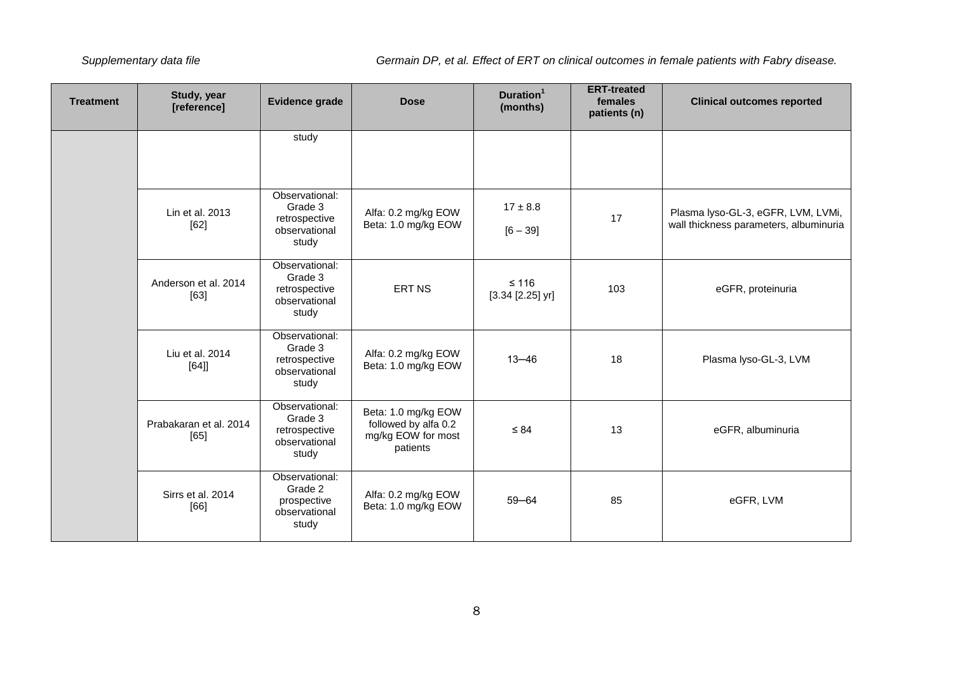| <b>Treatment</b> | Study, year<br>[reference]     | <b>Evidence grade</b>                                                | <b>Dose</b>                                                                   | Duration <sup>1</sup><br>(months) | <b>ERT-treated</b><br>females<br>patients (n) | <b>Clinical outcomes reported</b>                                            |
|------------------|--------------------------------|----------------------------------------------------------------------|-------------------------------------------------------------------------------|-----------------------------------|-----------------------------------------------|------------------------------------------------------------------------------|
|                  |                                | study                                                                |                                                                               |                                   |                                               |                                                                              |
|                  | Lin et al. 2013<br>[62]        | Observational:<br>Grade 3<br>retrospective<br>observational<br>study | Alfa: 0.2 mg/kg EOW<br>Beta: 1.0 mg/kg EOW                                    | $17 \pm 8.8$<br>$[6 - 39]$        | 17                                            | Plasma lyso-GL-3, eGFR, LVM, LVMi,<br>wall thickness parameters, albuminuria |
|                  | Anderson et al. 2014<br>[63]   | Observational:<br>Grade 3<br>retrospective<br>observational<br>study | ERT NS                                                                        | $≤ 116$<br>$[3.34 [2.25]$ yr]     | 103                                           | eGFR, proteinuria                                                            |
|                  | Liu et al. 2014<br>$[64]$      | Observational:<br>Grade 3<br>retrospective<br>observational<br>study | Alfa: 0.2 mg/kg EOW<br>Beta: 1.0 mg/kg EOW                                    | $13 - 46$                         | 18                                            | Plasma lyso-GL-3, LVM                                                        |
|                  | Prabakaran et al. 2014<br>[65] | Observational:<br>Grade 3<br>retrospective<br>observational<br>study | Beta: 1.0 mg/kg EOW<br>followed by alfa 0.2<br>mg/kg EOW for most<br>patients | $\leq 84$                         | 13                                            | eGFR, albuminuria                                                            |
|                  | Sirrs et al. 2014<br>[66]      | Observational:<br>Grade 2<br>prospective<br>observational<br>study   | Alfa: 0.2 mg/kg EOW<br>Beta: 1.0 mg/kg EOW                                    | $59 - 64$                         | 85                                            | eGFR, LVM                                                                    |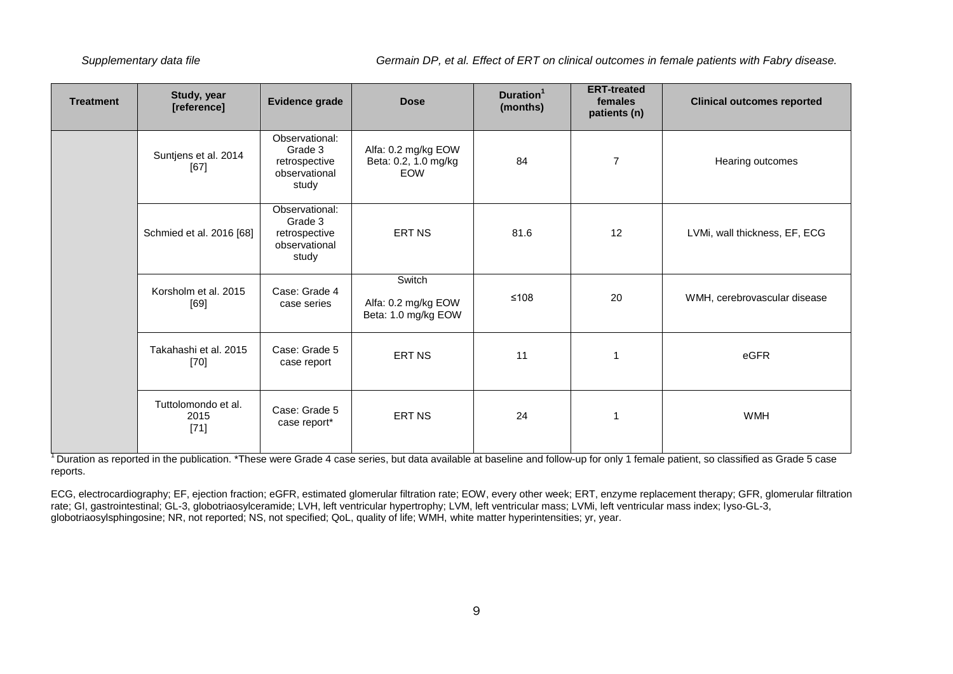| <b>Treatment</b> | Study, year<br>[reference]            | Evidence grade                                                       | <b>Dose</b>                                          | Duration <sup>1</sup><br>(months) | <b>ERT-treated</b><br>females<br>patients (n) | <b>Clinical outcomes reported</b> |
|------------------|---------------------------------------|----------------------------------------------------------------------|------------------------------------------------------|-----------------------------------|-----------------------------------------------|-----------------------------------|
|                  | Suntjens et al. 2014<br>[67]          | Observational:<br>Grade 3<br>retrospective<br>observational<br>study | Alfa: 0.2 mg/kg EOW<br>Beta: 0.2, 1.0 mg/kg<br>EOW   | 84                                | $\overline{7}$                                | Hearing outcomes                  |
|                  | Schmied et al. 2016 [68]              | Observational:<br>Grade 3<br>retrospective<br>observational<br>study | ERT NS                                               | 81.6                              | 12                                            | LVMi, wall thickness, EF, ECG     |
|                  | Korsholm et al. 2015<br>[69]          | Case: Grade 4<br>case series                                         | Switch<br>Alfa: 0.2 mg/kg EOW<br>Beta: 1.0 mg/kg EOW | $≤108$                            | 20                                            | WMH, cerebrovascular disease      |
|                  | Takahashi et al. 2015<br>$[70]$       | Case: Grade 5<br>case report                                         | <b>ERT NS</b>                                        | 11                                |                                               | eGFR                              |
|                  | Tuttolomondo et al.<br>2015<br>$[71]$ | Case: Grade 5<br>case report*                                        | ERT NS                                               | 24                                |                                               | <b>WMH</b>                        |

<sup>1</sup> Duration as reported in the publication. \*These were Grade 4 case series, but data available at baseline and follow-up for only 1 female patient, so classified as Grade 5 case reports.

ECG, electrocardiography; EF, ejection fraction; eGFR, estimated glomerular filtration rate; EOW, every other week; ERT, enzyme replacement therapy; GFR, glomerular filtration rate; GI, gastrointestinal; GL-3, globotriaosylceramide; LVH, left ventricular hypertrophy; LVM, left ventricular mass; LVMi, left ventricular mass index; lyso-GL-3, globotriaosylsphingosine; NR, not reported; NS, not specified; QoL, quality of life; WMH, white matter hyperintensities; yr, year.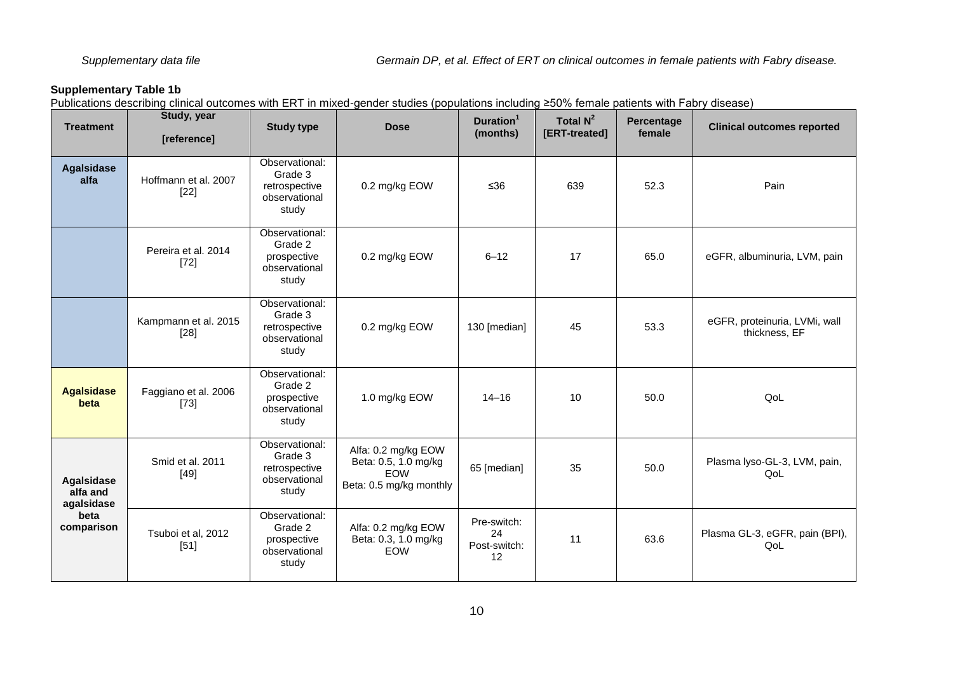<span id="page-9-0"></span>Publications describing clinical outcomes with ERT in mixed-gender studies (populations including ≥50% female patients with Fabry disease)

| <b>Treatment</b>              | Study, year<br>[reference]     | <b>Study type</b>                                                    | <b>Dose</b>                                                                          | Duration <sup>1</sup><br>(months)       | Total $N^2$<br>[ERT-treated] | Percentage<br>female | <b>Clinical outcomes reported</b>              |
|-------------------------------|--------------------------------|----------------------------------------------------------------------|--------------------------------------------------------------------------------------|-----------------------------------------|------------------------------|----------------------|------------------------------------------------|
| <b>Agalsidase</b><br>alfa     | Hoffmann et al. 2007<br>$[22]$ | Observational:<br>Grade 3<br>retrospective<br>observational<br>study | 0.2 mg/kg EOW                                                                        | $≤36$                                   | 639                          | 52.3                 | Pain                                           |
|                               | Pereira et al. 2014<br>$[72]$  | Observational:<br>Grade 2<br>prospective<br>observational<br>study   | 0.2 mg/kg EOW                                                                        | $6 - 12$                                | 17                           | 65.0                 | eGFR, albuminuria, LVM, pain                   |
|                               | Kampmann et al. 2015<br>$[28]$ | Observational:<br>Grade 3<br>retrospective<br>observational<br>study | 0.2 mg/kg EOW                                                                        | 130 [median]                            | 45                           | 53.3                 | eGFR, proteinuria, LVMi, wall<br>thickness, EF |
| <b>Agalsidase</b><br>beta     | Faggiano et al. 2006<br>$[73]$ | Observational:<br>Grade 2<br>prospective<br>observational<br>study   | 1.0 mg/kg EOW                                                                        | $14 - 16$                               | 10                           | 50.0                 | QoL                                            |
| <b>Agalsidase</b><br>alfa and | Smid et al. 2011<br>$[49]$     | Observational:<br>Grade 3<br>retrospective<br>observational<br>study | Alfa: 0.2 mg/kg EOW<br>Beta: 0.5, 1.0 mg/kg<br><b>EOW</b><br>Beta: 0.5 mg/kg monthly | 65 [median]                             | 35                           | 50.0                 | Plasma lyso-GL-3, LVM, pain,<br>QoL            |
| beta<br>comparison            | Tsuboi et al, 2012<br>$[51]$   | Observational:<br>Grade 2<br>prospective<br>observational<br>study   | Alfa: 0.2 mg/kg EOW<br>Beta: 0.3, 1.0 mg/kg<br><b>EOW</b>                            | Pre-switch:<br>24<br>Post-switch:<br>12 | 11                           | 63.6                 | Plasma GL-3, eGFR, pain (BPI),<br>QoL          |
|                               | agalsidase                     |                                                                      |                                                                                      |                                         |                              |                      |                                                |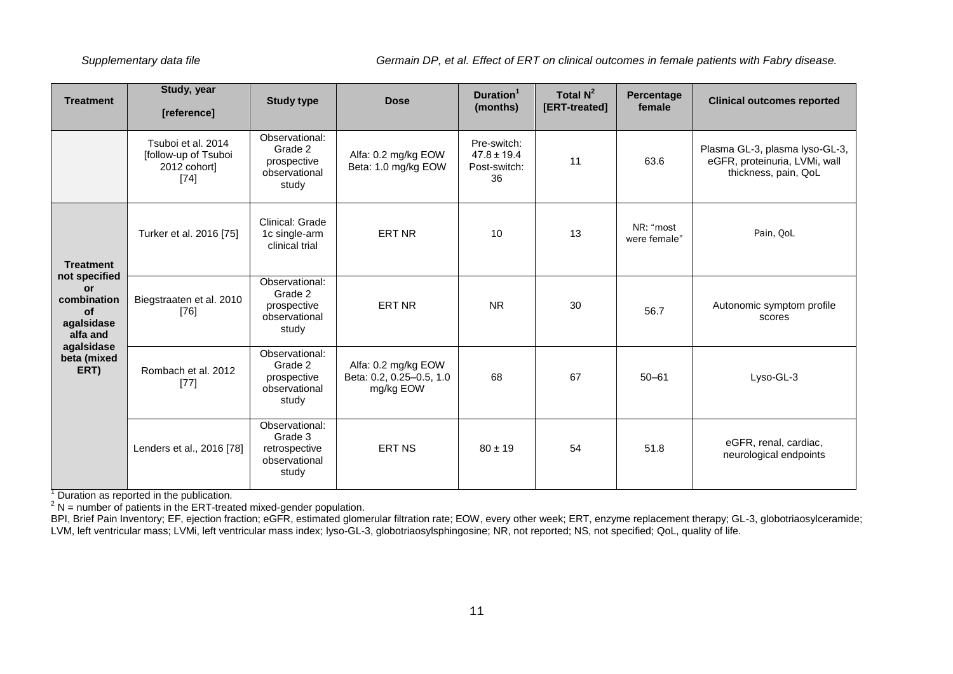| <b>Treatment</b>                                                                                                                          | Study, year<br>[reference]                                           | <b>Study type</b>                                                    | <b>Dose</b>                                                  | Total $N^2$<br>Duration <sup>1</sup><br>[ERT-treated]<br>(months)<br>female<br>Pre-switch:<br>$47.8 \pm 19.4$<br>11<br>63.6<br>Post-switch:<br>36<br>NR: "most<br>10<br>13<br><b>NR</b><br>30<br>56.7<br>68<br>67<br>$50 - 61$<br>$80 \pm 19$<br>54<br>51.8 | Percentage | <b>Clinical outcomes reported</b> |                                                                                         |
|-------------------------------------------------------------------------------------------------------------------------------------------|----------------------------------------------------------------------|----------------------------------------------------------------------|--------------------------------------------------------------|-------------------------------------------------------------------------------------------------------------------------------------------------------------------------------------------------------------------------------------------------------------|------------|-----------------------------------|-----------------------------------------------------------------------------------------|
|                                                                                                                                           | Tsuboi et al. 2014<br>[follow-up of Tsuboi<br>2012 cohort]<br>$[74]$ | Observational:<br>Grade 2<br>prospective<br>observational<br>study   | Alfa: 0.2 mg/kg EOW<br>Beta: 1.0 mg/kg EOW                   |                                                                                                                                                                                                                                                             |            |                                   | Plasma GL-3, plasma lyso-GL-3,<br>eGFR, proteinuria, LVMi, wall<br>thickness, pain, QoL |
| <b>Treatment</b><br>not specified<br><b>or</b><br>combination<br><b>of</b><br>agalsidase<br>alfa and<br>agalsidase<br>beta (mixed<br>ERT) | Turker et al. 2016 [75]                                              | Clinical: Grade<br>1c single-arm<br>clinical trial                   | <b>ERT NR</b>                                                |                                                                                                                                                                                                                                                             |            | were female"                      | Pain, QoL                                                                               |
|                                                                                                                                           | Biegstraaten et al. 2010<br>$[76]$                                   | Observational:<br>Grade 2<br>prospective<br>observational<br>study   | <b>ERT NR</b>                                                |                                                                                                                                                                                                                                                             |            |                                   | Autonomic symptom profile<br>scores                                                     |
|                                                                                                                                           | Rombach et al. 2012<br>$[77]$                                        | Observational:<br>Grade 2<br>prospective<br>observational<br>study   | Alfa: 0.2 mg/kg EOW<br>Beta: 0.2, 0.25-0.5, 1.0<br>mg/kg EOW |                                                                                                                                                                                                                                                             |            |                                   | Lyso-GL-3                                                                               |
|                                                                                                                                           | Lenders et al., 2016 [78]                                            | Observational:<br>Grade 3<br>retrospective<br>observational<br>study | <b>ERT NS</b>                                                |                                                                                                                                                                                                                                                             |            |                                   | eGFR, renal, cardiac,<br>neurological endpoints                                         |

 $<sup>1</sup>$  Duration as reported in the publication.</sup>

 $2$  N = number of patients in the ERT-treated mixed-gender population.

BPI, Brief Pain Inventory; EF, ejection fraction; eGFR, estimated glomerular filtration rate; EOW, every other week; ERT, enzyme replacement therapy; GL-3, globotriaosylceramide; LVM, left ventricular mass; LVMi, left ventricular mass index; lyso-GL-3, globotriaosylsphingosine; NR, not reported; NS, not specified; QoL, quality of life.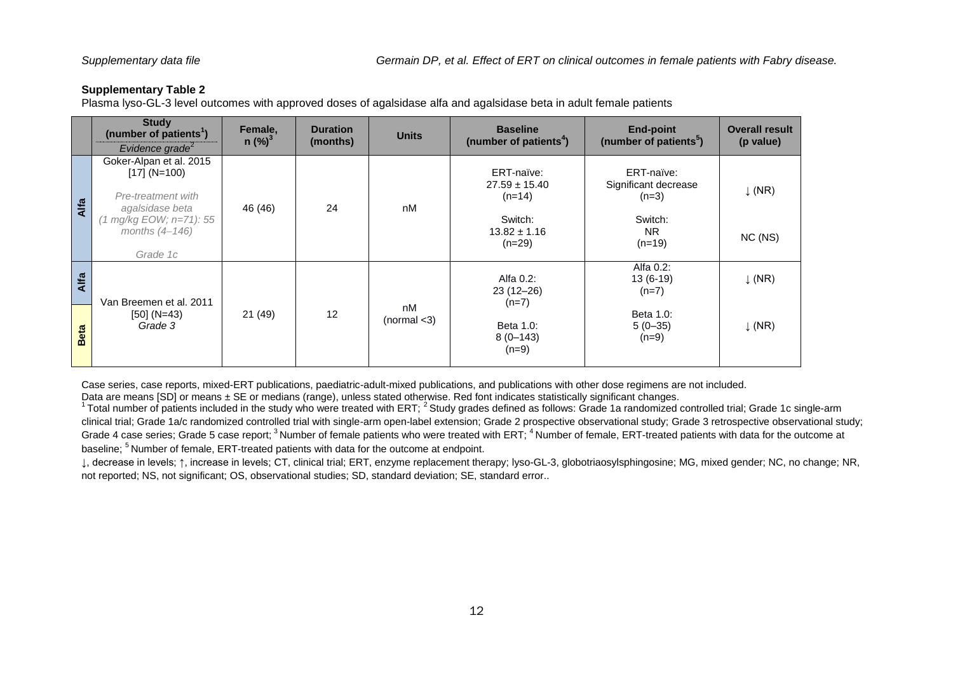<span id="page-11-0"></span>Plasma lyso-GL-3 level outcomes with approved doses of agalsidase alfa and agalsidase beta in adult female patients

|             | <b>Study</b><br>(number of patients <sup>1</sup> )<br>Evidence grade $2$                                                                    | Female,<br>$n$ (%) <sup>3</sup> | <b>Duration</b><br>(months) | <b>Units</b>       | <b>Baseline</b><br>(number of patients <sup>4</sup> )                                  | <b>End-point</b><br>(number of patients <sup>5</sup> )                            | <b>Overall result</b><br>(p value) |
|-------------|---------------------------------------------------------------------------------------------------------------------------------------------|---------------------------------|-----------------------------|--------------------|----------------------------------------------------------------------------------------|-----------------------------------------------------------------------------------|------------------------------------|
| Alfa        | Goker-Alpan et al. 2015<br>$[17] (N=100)$<br>Pre-treatment with<br>agalsidase beta<br>(1 mg/kg EOW; n=71): 55<br>months (4-146)<br>Grade 1c | 46 (46)                         | 24                          | nM                 | ERT-naïve:<br>$27.59 \pm 15.40$<br>$(n=14)$<br>Switch:<br>$13.82 \pm 1.16$<br>$(n=29)$ | ERT-naïve:<br>Significant decrease<br>$(n=3)$<br>Switch:<br><b>NR</b><br>$(n=19)$ | $\downarrow$ (NR)<br>NC (NS)       |
| Alfa        | Van Breemen et al. 2011                                                                                                                     |                                 |                             |                    | Alfa 0.2:<br>$23(12-26)$<br>$(n=7)$                                                    | Alfa 0.2:<br>$13(6-19)$<br>$(n=7)$                                                | $\downarrow$ (NR)                  |
| <b>Beta</b> | $[50] (N=43)$<br>Grade 3                                                                                                                    | 21(49)                          | 12                          | nM<br>(normal < 3) | Beta 1.0:<br>$8(0-143)$<br>$(n=9)$                                                     | Beta 1.0:<br>$5(0-35)$<br>$(n=9)$                                                 | $\downarrow$ (NR)                  |

Case series, case reports, mixed-ERT publications, paediatric-adult-mixed publications, and publications with other dose regimens are not included.

Data are means [SD] or means ± SE or medians (range), unless stated otherwise. Red font indicates statistically significant changes.

 $^1$ Total number of patients included in the study who were treated with ERT;  $^2$  Study grades defined as follows: Grade 1a randomized controlled trial; Grade 1c single-arm clinical trial; Grade 1a/c randomized controlled trial with single-arm open-label extension; Grade 2 prospective observational study; Grade 3 retrospective observational study; Grade 4 case series; Grade 5 case report; <sup>3</sup> Number of female patients who were treated with ERT; <sup>4</sup> Number of female, ERT-treated patients with data for the outcome at baseline; <sup>5</sup> Number of female, ERT-treated patients with data for the outcome at endpoint.

↓, decrease in levels; ↑, increase in levels; CT, clinical trial; ERT, enzyme replacement therapy; lyso-GL-3, globotriaosylsphingosine; MG, mixed gender; NC, no change; NR, not reported; NS, not significant; OS, observational studies; SD, standard deviation; SE, standard error..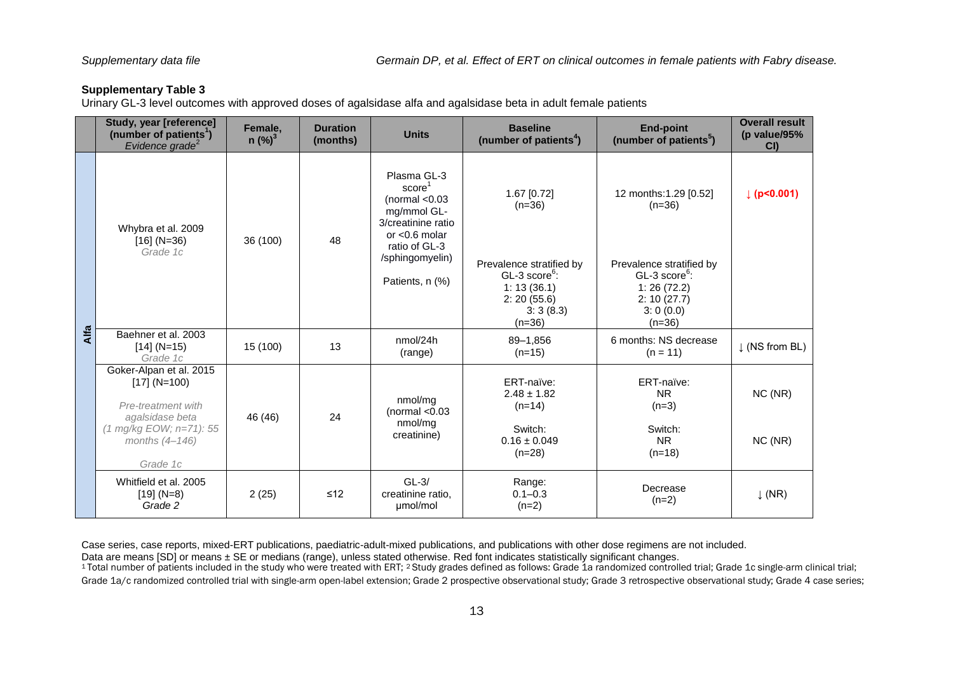<span id="page-12-0"></span>Urinary GL-3 level outcomes with approved doses of agalsidase alfa and agalsidase beta in adult female patients

|      | Study, year [reference]<br>(number of patients <sup>1</sup> )<br>Evidence grade <sup>2</sup>                                    | Female,<br>$n$ (%) <sup>3</sup> | <b>Duration</b><br>(months) | <b>Units</b>                                                                                                       | <b>Baseline</b><br>(number of patients <sup>4</sup> )                                                         | <b>End-point</b><br>(number of patients <sup>5</sup> )                                                       | <b>Overall result</b><br>(p value/95%<br>CI |
|------|---------------------------------------------------------------------------------------------------------------------------------|---------------------------------|-----------------------------|--------------------------------------------------------------------------------------------------------------------|---------------------------------------------------------------------------------------------------------------|--------------------------------------------------------------------------------------------------------------|---------------------------------------------|
|      | Whybra et al. 2009<br>$[16] (N=36)$<br>Grade 1c                                                                                 | 36 (100)                        | 48                          | Plasma GL-3<br>score<br>(normal $< 0.03$<br>mg/mmol GL-<br>3/creatinine ratio<br>or $< 0.6$ molar<br>ratio of GL-3 | 1.67 [0.72]<br>$(n=36)$                                                                                       | 12 months:1.29 [0.52]<br>$(n=36)$                                                                            | p  < 0.001                                  |
|      |                                                                                                                                 |                                 |                             | /sphingomyelin)<br>Patients, n (%)                                                                                 | Prevalence stratified by<br>$GL-3$ score <sup>6</sup> :<br>1: 13(36.1)<br>2: 20(55.6)<br>3:3(8.3)<br>$(n=36)$ | Prevalence stratified by<br>$GL-3$ score <sup>6</sup> :<br>1:26(72.2)<br>2: 10(27.7)<br>3:0(0.0)<br>$(n=36)$ |                                             |
| Alfa | Baehner et al. 2003<br>$[14] (N=15)$<br>Grade 1c                                                                                | 15 (100)                        | 13                          | nmol/24h<br>(range)                                                                                                | 89-1,856<br>$(n=15)$                                                                                          | 6 months: NS decrease<br>$(n = 11)$                                                                          | $\downarrow$ (NS from BL)                   |
|      | Goker-Alpan et al. 2015<br>$[17] (N=100)$<br>Pre-treatment with<br>agalsidase beta<br>(1 mg/kg EOW; n=71): 55<br>months (4-146) | 46 (46)                         | 24                          | nmol/mg<br>(normal $< 0.03$<br>nmol/mg<br>creatinine)                                                              | ERT-naïve:<br>$2.48 \pm 1.82$<br>$(n=14)$<br>Switch:<br>$0.16 \pm 0.049$<br>$(n=28)$                          | ERT-naïve:<br><b>NR</b><br>$(n=3)$<br>Switch:<br><b>NR</b><br>$(n=18)$                                       | NC (NR)<br>NC(NR)                           |
|      | Grade 1c<br>Whitfield et al. 2005<br>$[19] (N=8)$<br>Grade 2                                                                    | 2(25)                           | $≤12$                       | $GL-3/$<br>creatinine ratio.<br>µmol/mol                                                                           | Range:<br>$0.1 - 0.3$<br>$(n=2)$                                                                              | Decrease<br>$(n=2)$                                                                                          | $\downarrow$ (NR)                           |

Case series, case reports, mixed-ERT publications, paediatric-adult-mixed publications, and publications with other dose regimens are not included.

Data are means [SD] or means ± SE or medians (range), unless stated otherwise. Red font indicates statistically significant changes.

1 Total number of patients included in the study who were treated with ERT; <sup>2</sup> Study grades defined as follows: Grade 1a randomized controlled trial; Grade 1c single-arm clinical trial; Grade 1a/c randomized controlled trial with single-arm open-label extension; Grade 2 prospective observational study; Grade observational study; Grade 4 case series;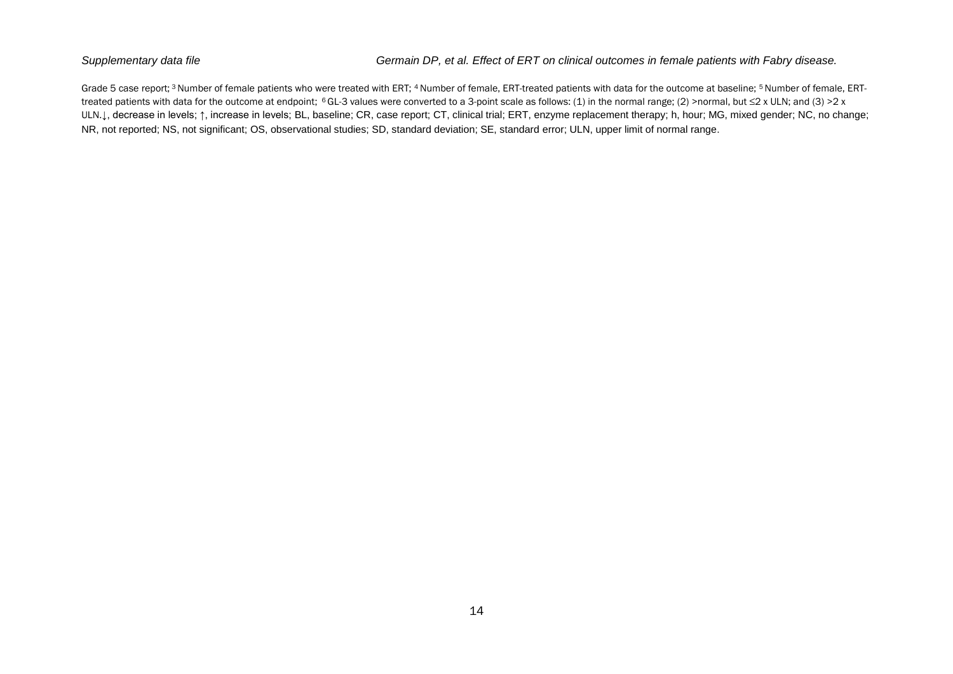Grade 5 case report;<sup>3</sup> Number of female patients who were treated with ERT; <sup>4</sup> Number of female, ERT-treated patients with data for the outcome at baseline; <sup>5</sup> Number of female, ERTtreated patients with data for the outcome at endpoint; 6 GL-3 values were converted to a 3-point scale as follows: (1) in the normal range; (2) >normal, but ≤2 x ULN; and (3) >2 x ULN.↓, decrease in levels; ↑, increase in levels; BL, baseline; CR, case report; CT, clinical trial; ERT, enzyme replacement therapy; h, hour; MG, mixed gender; NC, no change; NR, not reported; NS, not significant; OS, observational studies; SD, standard deviation; SE, standard error; ULN, upper limit of normal range.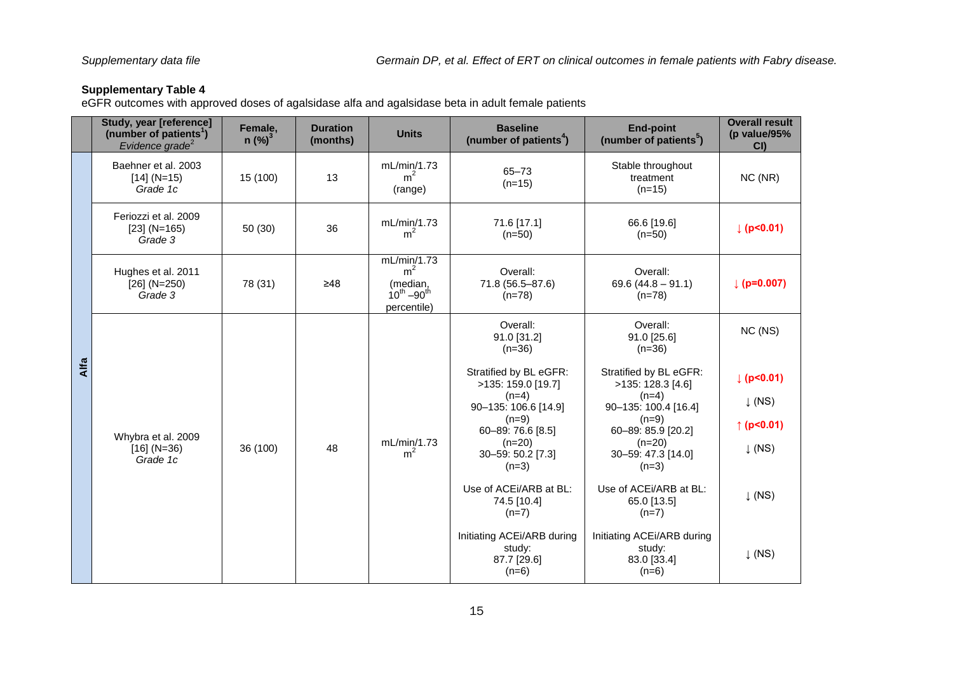<span id="page-14-0"></span>eGFR outcomes with approved doses of agalsidase alfa and agalsidase beta in adult female patients

|      | Study, year [reference]<br>(number of patients <sup>1</sup> )<br>Evidence grade <sup>2</sup> | Female,<br>$n$ (%) <sup>3</sup> | <b>Duration</b><br>(months) | <b>Units</b>                                                                    | <b>Baseline</b><br>(number of patients <sup>4</sup> )                           | <b>End-point</b><br>(number of patients <sup>5</sup> )                         | <b>Overall result</b><br>(p value/95%<br>CI |
|------|----------------------------------------------------------------------------------------------|---------------------------------|-----------------------------|---------------------------------------------------------------------------------|---------------------------------------------------------------------------------|--------------------------------------------------------------------------------|---------------------------------------------|
|      | Baehner et al. 2003<br>$[14] (N=15)$<br>Grade 1c                                             | 15 (100)                        | 13                          | mL/min/1.73<br>m <sup>2</sup><br>(range)                                        | 65-73<br>$(n=15)$                                                               | Stable throughout<br>treatment<br>$(n=15)$                                     | NC (NR)                                     |
|      | Feriozzi et al. 2009<br>$[23] (N=165)$<br>Grade 3                                            | 50(30)                          | 36                          | mL/min/1.73<br>m <sup>2</sup>                                                   | 71.6 [17.1]<br>$(n=50)$                                                         | 66.6 [19.6]<br>$(n=50)$                                                        | $ $ (p<0.01)                                |
|      | Hughes et al. 2011<br>$[26]$ (N=250)<br>Grade 3                                              | 78 (31)                         | $\geq 48$                   | mL/min/1.73<br>m <sup>2</sup><br>(median,<br>$10^{th} - 90^{th}$<br>percentile) | Overall:<br>71.8 (56.5-87.6)<br>$(n=78)$                                        | Overall:<br>69.6 $(44.8 - 91.1)$<br>$(n=78)$                                   | $ $ (p=0.007)                               |
|      |                                                                                              |                                 | 48                          |                                                                                 | Overall:<br>91.0 [31.2]<br>$(n=36)$                                             | Overall:<br>91.0 [25.6]<br>$(n=36)$                                            | NC (NS)                                     |
| Alfa |                                                                                              |                                 |                             |                                                                                 | Stratified by BL eGFR:<br>>135: 159.0 [19.7]<br>$(n=4)$<br>90-135: 106.6 [14.9] | Stratified by BL eGFR:<br>>135: 128.3 [4.6]<br>$(n=4)$<br>90-135: 100.4 [16.4] | (p<0.01)<br>$\downarrow$ (NS)               |
|      | Whybra et al. 2009                                                                           |                                 |                             |                                                                                 | $(n=9)$<br>60-89: 76.6 [8.5]                                                    | $(n=9)$<br>60-89: 85.9 [20.2]                                                  | ↑ ( $p$ <0.01)                              |
|      | $[16] (N=36)$<br>Grade 1c                                                                    | 36 (100)                        |                             | mL/min/1.73<br>m <sup>2</sup>                                                   | $(n=20)$<br>30-59: 50.2 [7.3]<br>$(n=3)$                                        | $(n=20)$<br>30-59: 47.3 [14.0]<br>$(n=3)$                                      | $\downarrow$ (NS)                           |
|      |                                                                                              |                                 |                             | Use of ACEi/ARB at BL:<br>74.5 [10.4]<br>$(n=7)$                                | Use of ACEi/ARB at BL:<br>65.0 [13.5]<br>$(n=7)$                                | $\downarrow$ (NS)                                                              |                                             |
|      |                                                                                              |                                 |                             |                                                                                 | Initiating ACEi/ARB during<br>study:<br>87.7 [29.6]<br>$(n=6)$                  | Initiating ACEi/ARB during<br>study:<br>83.0 [33.4]<br>$(n=6)$                 | $\downarrow$ (NS)                           |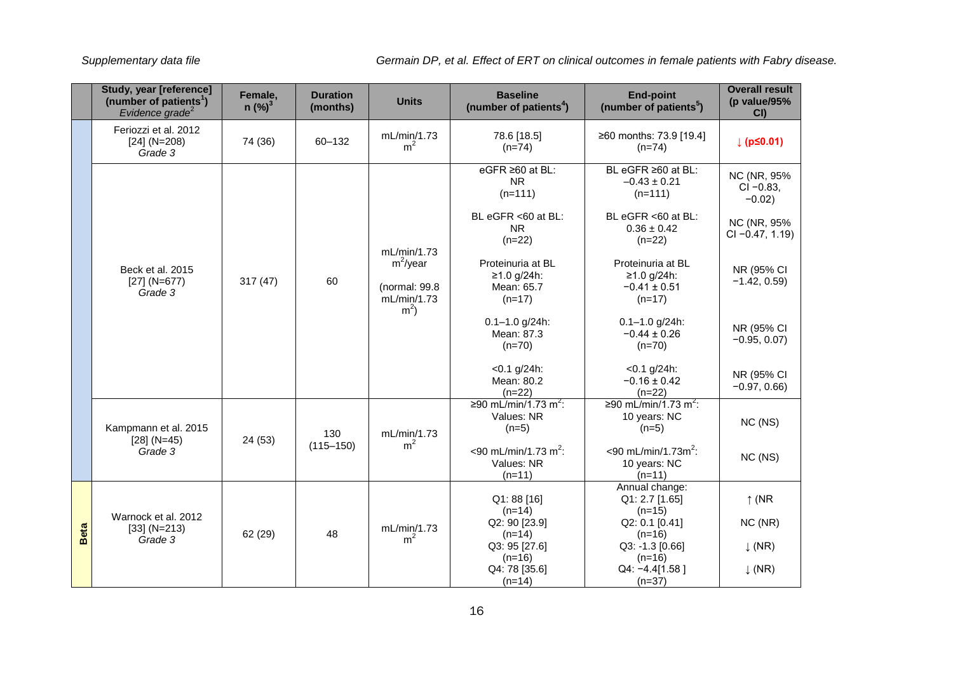|             | Study, year [reference]<br>(number of patients <sup>1</sup> )<br>Evidence grade <sup>2</sup> | Female,<br>$n$ (%) <sup>3</sup> | <b>Duration</b><br>(months) | <b>Units</b>                                                                 | <b>Baseline</b><br>(number of patients <sup>4</sup> )         | <b>End-point</b><br>(number of patients <sup>5</sup> )              | <b>Overall result</b><br>(p value/95%<br>CI |
|-------------|----------------------------------------------------------------------------------------------|---------------------------------|-----------------------------|------------------------------------------------------------------------------|---------------------------------------------------------------|---------------------------------------------------------------------|---------------------------------------------|
|             | Feriozzi et al. 2012<br>$[24] (N=208)$<br>Grade 3                                            | 74 (36)                         | 60-132                      | mL/min/1.73<br>m <sup>2</sup>                                                | 78.6 [18.5]<br>$(n=74)$                                       | ≥60 months: 73.9 [19.4]<br>$(n=74)$                                 | $\downarrow$ (pS0.01)                       |
|             |                                                                                              |                                 |                             |                                                                              | eGFR ≥60 at BL:<br><b>NR</b><br>$(n=111)$                     | BL eGFR ≥60 at BL:<br>$-0.43 \pm 0.21$<br>$(n=111)$                 | NC (NR, 95%<br>$CI - 0.83$ ,<br>$-0.02$ )   |
|             |                                                                                              |                                 |                             |                                                                              | BL eGFR <60 at BL:<br>N <sub>R</sub><br>$(n=22)$              | BL eGFR <60 at BL:<br>$0.36 \pm 0.42$<br>$(n=22)$                   | NC (NR, 95%<br>$CI -0.47, 1.19$             |
|             | Beck et al. 2015<br>$[27] (N=677)$<br>Grade 3                                                | 317(47)                         | 60                          | mL/min/1.73<br>$m^2$ /year<br>(normal: 99.8<br>mL/min/1.73<br>m <sup>2</sup> | Proteinuria at BL<br>$≥1.0 g/24h$ :<br>Mean: 65.7<br>$(n=17)$ | Proteinuria at BL<br>$≥1.0 g/24h$ :<br>$-0.41 \pm 0.51$<br>$(n=17)$ | NR (95% CI<br>$-1.42, 0.59$                 |
|             |                                                                                              |                                 |                             |                                                                              | $0.1 - 1.0$ g/24h:<br>Mean: 87.3<br>$(n=70)$                  | $0.1 - 1.0$ g/24h:<br>$-0.44 \pm 0.26$<br>$(n=70)$                  | NR (95% CI<br>$-0.95, 0.07$                 |
|             |                                                                                              |                                 |                             |                                                                              | $< 0.1$ g/24h:<br>Mean: 80.2<br>$(n=22)$                      | $< 0.1$ g/24h:<br>$-0.16 \pm 0.42$<br>$(n=22)$                      | NR (95% CI<br>$-0.97, 0.66$                 |
|             | Kampmann et al. 2015<br>$[28] (N=45)$                                                        | 24 (53)                         | 130                         | mL/min/1.73                                                                  | ≥90 mL/min/1.73 m <sup>2</sup> :<br>Values: NR<br>$(n=5)$     | ≥90 mL/min/1.73 m <sup>2</sup> :<br>10 years: NC<br>$(n=5)$         | NC (NS)                                     |
|             | Grade 3                                                                                      |                                 | $(115 - 150)$               | m <sup>2</sup>                                                               | <90 mL/min/1.73 m <sup>2</sup> :<br>Values: NR<br>$(n=11)$    | $<$ 90 mL/min/1.73m <sup>2</sup> :<br>10 years: NC<br>$(n=11)$      | NC (NS)                                     |
|             | Warnock et al. 2012                                                                          |                                 |                             |                                                                              | Q1:88 [16]<br>$(n=14)$                                        | Annual change:<br>Q1: 2.7 [1.65]<br>$(n=15)$                        | $\uparrow$ (NR                              |
| <b>Beta</b> | $[33] (N=213)$<br>Grade 3                                                                    | 62 (29)                         | 48                          | mL/min/1.73<br>m <sup>2</sup>                                                | Q2: 90 [23.9]<br>$(n=14)$<br>Q3: 95 [27.6]                    | Q2: 0.1 [0.41]<br>$(n=16)$<br>Q3: -1.3 [0.66]                       | NC (NR)<br>$\downarrow$ (NR)                |
|             |                                                                                              |                                 |                             |                                                                              | $(n=16)$<br>Q4: 78 [35.6]<br>$(n=14)$                         | $(n=16)$<br>Q4: -4.4[1.58]<br>$(n=37)$                              | $\downarrow$ (NR)                           |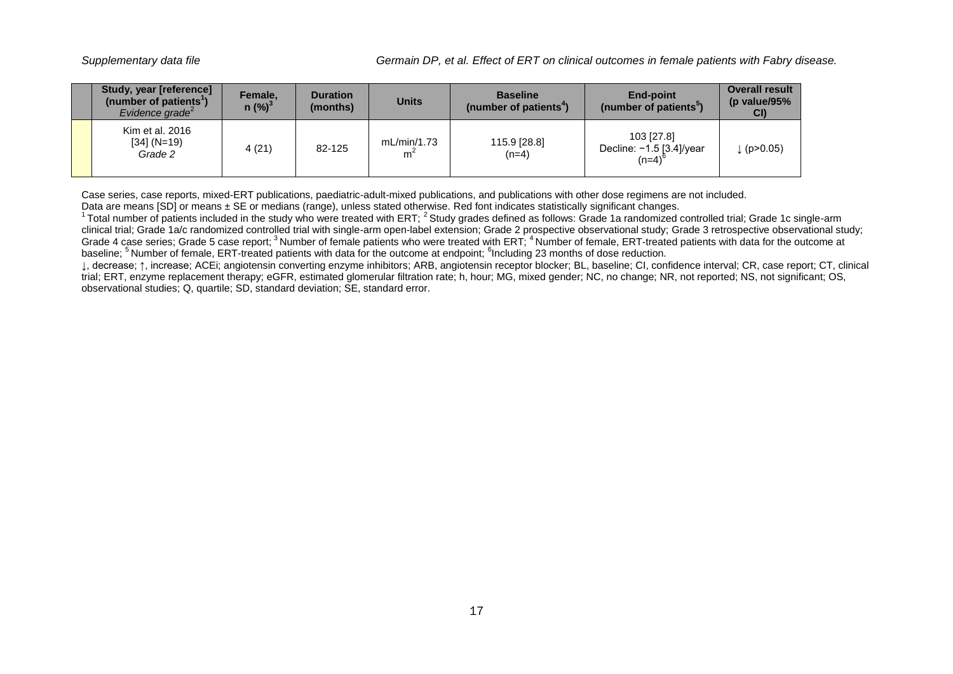| Study, year [reference]<br>(number of patients')<br>Evidence arade <sup><math>2</math></sup> | Female.<br>$n$ (%) <sup>3</sup> | <b>Duration</b><br>(months) | <b>Units</b>     | <b>Baseline</b><br>(number of patients <sup>4</sup> ) | <b>End-point</b><br>(number of patients <sup>3</sup> )    | <b>Overall result</b><br>(p value/95%<br>CI |
|----------------------------------------------------------------------------------------------|---------------------------------|-----------------------------|------------------|-------------------------------------------------------|-----------------------------------------------------------|---------------------------------------------|
| Kim et al. 2016<br>$[34] (N=19)$<br>Grade 2                                                  | 4(21)                           | 82-125                      | mL/min/1.73<br>m | 115.9 [28.8]<br>$(n=4)$                               | 103 [27.8]<br>Decline: $-1.5$ [3.4]/year<br>$(n=4)^\circ$ | (p > 0.05)                                  |

Case series, case reports, mixed-ERT publications, paediatric-adult-mixed publications, and publications with other dose regimens are not included. Data are means [SD] or means ± SE or medians (range), unless stated otherwise. Red font indicates statistically significant changes.

 $1$ Total number of patients included in the study who were treated with ERT;  $2$  Study grades defined as follows: Grade 1a randomized controlled trial; Grade 1c single-arm clinical trial; Grade 1a/c randomized controlled trial with single-arm open-label extension; Grade 2 prospective observational study; Grade 3 retrospective observational study; Grade 4 case series; Grade 5 case report; <sup>3</sup>Number of female patients who were treated with ERT; <sup>4</sup>Number of female, ERT-treated patients with data for the outcome at baseline; <sup>5</sup> Number of female, ERT-treated patients with data for the outcome at endpoint; <sup>6</sup>Including 23 months of dose reduction.

↓, decrease; ↑, increase; ACEi; angiotensin converting enzyme inhibitors; ARB, angiotensin receptor blocker; BL, baseline; CI, confidence interval; CR, case report; CT, clinical trial; ERT, enzyme replacement therapy; eGFR, estimated glomerular filtration rate; h, hour; MG, mixed gender; NC, no change; NR, not reported; NS, not significant; OS, observational studies; Q, quartile; SD, standard deviation; SE, standard error.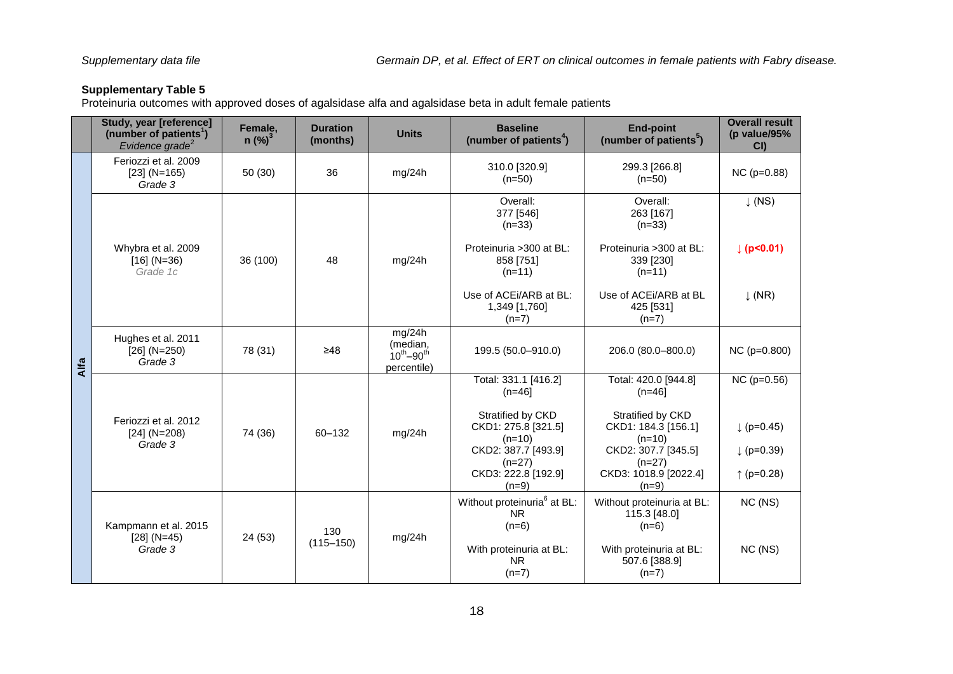<span id="page-17-0"></span>Proteinuria outcomes with approved doses of agalsidase alfa and agalsidase beta in adult female patients

|      | Study, year [reference]<br>(number of patients <sup>1</sup> )<br>Evidence grade <sup>2</sup> | Female,<br>$n$ (%) <sup>3</sup> | <b>Duration</b><br>(months) | <b>Units</b>                                             | <b>Baseline</b><br>(number of patients <sup>4</sup> )                       | <b>End-point</b><br>(number of patients <sup>5</sup> )                      | <b>Overall result</b><br>(p value/95%<br>CI |
|------|----------------------------------------------------------------------------------------------|---------------------------------|-----------------------------|----------------------------------------------------------|-----------------------------------------------------------------------------|-----------------------------------------------------------------------------|---------------------------------------------|
|      | Feriozzi et al. 2009<br>$[23] (N=165)$<br>Grade 3                                            | 50(30)                          | 36                          | mg/24h                                                   | 310.0 [320.9]<br>$(n=50)$                                                   | 299.3 [266.8]<br>$(n=50)$                                                   | $NC$ ( $p=0.88$ )                           |
|      |                                                                                              |                                 |                             |                                                          | Overall:<br>377 [546]<br>$(n=33)$                                           | Overall:<br>263 [167]<br>$(n=33)$                                           | $\downarrow$ (NS)                           |
|      | Whybra et al. 2009<br>$[16] (N=36)$<br>Grade 1c                                              | 36 (100)                        | 48                          | mg/24h                                                   | Proteinuria > 300 at BL:<br>858 [751]<br>$(n=11)$                           | Proteinuria > 300 at BL:<br>339 [230]<br>$(n=11)$                           | (p<0.01)                                    |
|      |                                                                                              |                                 |                             |                                                          | Use of ACEI/ARB at BL:<br>1,349 [1,760]<br>$(n=7)$                          | Use of ACEI/ARB at BL<br>425 [531]<br>$(n=7)$                               | $\downarrow$ (NR)                           |
| Alfa | Hughes et al. 2011<br>$[26] (N=250)$<br>Grade 3                                              | 78 (31)                         | $\geq 48$                   | mg/24h<br>(median,<br>$10^{th} - 90^{th}$<br>percentile) | 199.5 (50.0-910.0)                                                          | 206.0 (80.0-800.0)                                                          | $NC$ ( $p=0.800$ )                          |
|      |                                                                                              |                                 | 60-132                      | mg/24h                                                   | Total: 331.1 [416.2]<br>$(n=46]$                                            | Total: 420.0 [944.8]<br>$(n=46]$                                            | $NC$ ( $p=0.56$ )                           |
|      | Feriozzi et al. 2012<br>$[24] (N=208)$<br>Grade 3                                            | 74 (36)                         |                             |                                                          | Stratified by CKD<br>CKD1: 275.8 [321.5]<br>$(n=10)$<br>CKD2: 387.7 [493.9] | Stratified by CKD<br>CKD1: 184.3 [156.1]<br>$(n=10)$<br>CKD2: 307.7 [345.5] | $( p=0.45)$<br>$( p=0.39)$                  |
|      |                                                                                              |                                 |                             |                                                          | $(n=27)$<br>CKD3: 222.8 [192.9]<br>$(n=9)$                                  | $(n=27)$<br>CKD3: 1018.9 [2022.4]<br>$(n=9)$                                | ↑ ( $p=0.28$ )                              |
|      | Kampmann et al. 2015<br>$[28] (N=45)$<br>Grade 3                                             | 130<br>24 (53)<br>$(115 - 150)$ |                             |                                                          | Without proteinuria <sup>6</sup> at BL:<br><b>NR</b><br>$(n=6)$             | Without proteinuria at BL:<br>115.3 [48.0]<br>$(n=6)$                       | NC (NS)                                     |
|      |                                                                                              |                                 |                             | mg/24h                                                   | With proteinuria at BL:<br><b>NR</b><br>$(n=7)$                             | With proteinuria at BL:<br>507.6 [388.9]<br>$(n=7)$                         | NC (NS)                                     |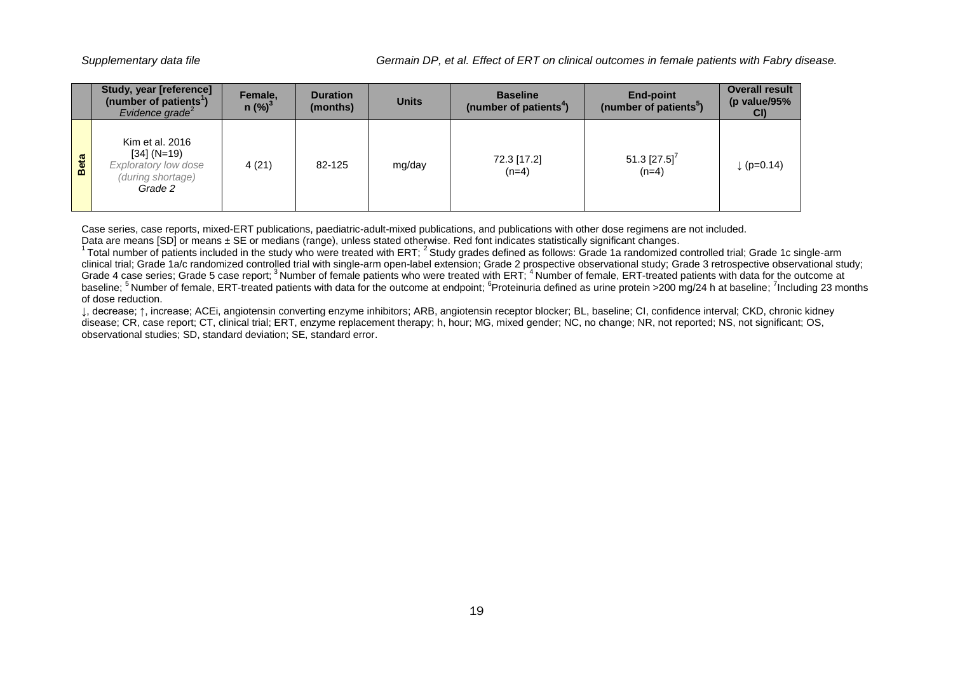|      | <b>Study, year [reference]</b><br>(number of patients <sup>1</sup> )<br>Evidence grade <sup>2</sup> | Female,<br>$n$ (%) <sup>3</sup> | <b>Duration</b><br>(months) | <b>Units</b> | <b>Baseline</b><br>(number of patients <sup>4</sup> ) | End-point<br>(number of patients <sup>5</sup> ) | <b>Overall result</b><br>(p value/95%<br>CI |
|------|-----------------------------------------------------------------------------------------------------|---------------------------------|-----------------------------|--------------|-------------------------------------------------------|-------------------------------------------------|---------------------------------------------|
| Beta | Kim et al. 2016<br>$[34] (N=19)$<br><b>Exploratory low dose</b><br>(during shortage)<br>Grade 2     | 4(21)                           | 82-125                      | mg/day       | 72.3 [17.2]<br>$(n=4)$                                | 51.3 [27.5] <sup>7</sup><br>$(n=4)$             | $  (p=0.14)$                                |

Case series, case reports, mixed-ERT publications, paediatric-adult-mixed publications, and publications with other dose regimens are not included.

Data are means [SD] or means ± SE or medians (range), unless stated otherwise. Red font indicates statistically significant changes.

<sup>1</sup>Total number of patients included in the study who were treated with ERT;<sup>2</sup> Study grades defined as follows: Grade 1a randomized controlled trial; Grade 1c single-arm clinical trial; Grade 1a/c randomized controlled trial with single-arm open-label extension; Grade 2 prospective observational study; Grade 3 retrospective observational study; Grade 4 case series; Grade 5 case report; <sup>3</sup> Number of female patients who were treated with ERT; <sup>4</sup> Number of female, ERT-treated patients with data for the outcome at baseline; <sup>5</sup> Number of female, ERT-treated patients with data for the outcome at endpoint; <sup>6</sup>Proteinuria defined as urine protein >200 mg/24 h at baseline; <sup>7</sup>Including 23 months of dose reduction.

↓, decrease; ↑, increase; ACEi, angiotensin converting enzyme inhibitors; ARB, angiotensin receptor blocker; BL, baseline; CI, confidence interval; CKD, chronic kidney disease; CR, case report; CT, clinical trial; ERT, enzyme replacement therapy; h, hour; MG, mixed gender; NC, no change; NR, not reported; NS, not significant; OS, observational studies; SD, standard deviation; SE, standard error.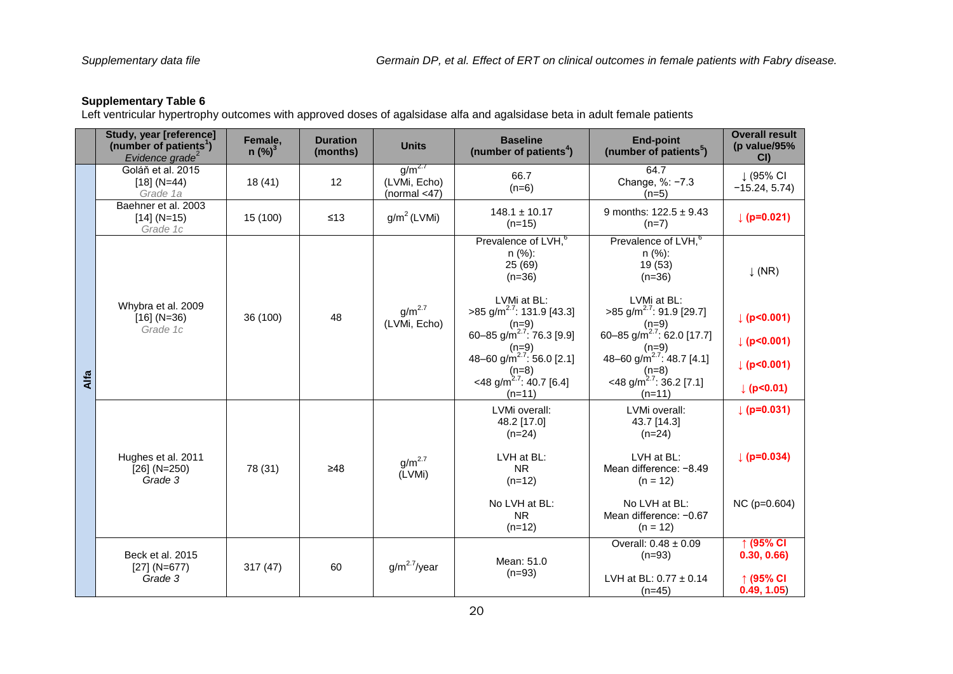<span id="page-19-0"></span>Left ventricular hypertrophy outcomes with approved doses of agalsidase alfa and agalsidase beta in adult female patients

|      | Study, year [reference]<br>(number of patients <sup>1</sup> )<br>Evidence grade <sup>2</sup> | Female,<br>$n$ (%) <sup>3</sup> | <b>Duration</b><br>(months) | <b>Units</b>                                   | <b>Baseline</b><br>(number of patients <sup>4</sup> )                                                                                                                                                                                                                                              | <b>End-point</b><br>(number of patients <sup>5</sup> )                                                                                                                                                                                                                                             | <b>Overall result</b><br>(p value/95%<br>CI                                      |
|------|----------------------------------------------------------------------------------------------|---------------------------------|-----------------------------|------------------------------------------------|----------------------------------------------------------------------------------------------------------------------------------------------------------------------------------------------------------------------------------------------------------------------------------------------------|----------------------------------------------------------------------------------------------------------------------------------------------------------------------------------------------------------------------------------------------------------------------------------------------------|----------------------------------------------------------------------------------|
|      | Goláň et al. 2015<br>$[18] (N=44)$<br>Grade 1a                                               | 18(41)                          | 12                          | $g/m^{2.7}$<br>(LVMi, Echo)<br>(normal $<$ 47) | 66.7<br>$(n=6)$                                                                                                                                                                                                                                                                                    | 64.7<br>Change, %: -7.3<br>$(n=5)$                                                                                                                                                                                                                                                                 | ↓ (95% CI<br>$-15.24, 5.74$                                                      |
|      | Baehner et al. 2003<br>$[14] (N=15)$<br>Grade 1c                                             | 15 (100)                        | $≤13$                       | $g/m^2$ (LVMi)                                 | $148.1 \pm 10.17$<br>$(n=15)$                                                                                                                                                                                                                                                                      | 9 months: $122.5 \pm 9.43$<br>$(n=7)$                                                                                                                                                                                                                                                              | $ $ (p=0.021)                                                                    |
| Alfa | Whybra et al. 2009<br>$[16] (N=36)$<br>Grade 1c                                              | 36 (100)                        | 48                          | $g/m^{2.7}$<br>(LVMi, Echo)                    | Prevalence of LVH, <sup>6</sup><br>$n$ (%):<br>25 (69)<br>$(n=36)$<br>LVMi at BL:<br>$>85$ g/m <sup>2.7</sup> : 131.9 [43.3]<br>$(n=9)$<br>60-85 g/m <sup>2.7</sup> : 76.3 [9.9]<br>$(n=9)$<br>48-60 g/m <sup>2.7</sup> : 56.0 [2.1]<br>$(n=8)$<br><48 g/m <sup>2.7</sup> : 40.7 [6.4]<br>$(n=11)$ | Prevalence of LVH, <sup>6</sup><br>$n$ (%):<br>19 (53)<br>$(n=36)$<br>LVMi at BL:<br>$>85$ g/m <sup>2.7</sup> : 91.9 [29.7]<br>$(n=9)$<br>60-85 g/m <sup>2.7</sup> : 62.0 [17.7]<br>$(n=9)$<br>48–60 g/m <sup>2.7</sup> : 48.7 [4.1]<br>$(n=8)$<br><48 g/m <sup>2.7</sup> : 36.2 [7.1]<br>$(n=11)$ | $\downarrow$ (NR)<br>$ p $ (p<0.001)<br>  (p<0.001)<br>  (p<0.001)<br> p  < 0.01 |
|      | Hughes et al. 2011<br>$[26]$ (N=250)<br>Grade 3                                              | 78 (31)                         | $\geq 48$                   | $q/m^{2.7}$<br>(LVMi)                          | LVMi overall:<br>48.2 [17.0]<br>$(n=24)$<br>LVH at BL:<br><b>NR</b><br>$(n=12)$<br>No LVH at BL:<br><b>NR</b><br>$(n=12)$                                                                                                                                                                          | LVMi overall:<br>43.7 [14.3]<br>$(n=24)$<br>LVH at BL:<br>Mean difference: -8.49<br>$(n = 12)$<br>No LVH at BL:<br>Mean difference: -0.67<br>$(n = 12)$                                                                                                                                            | $ $ (p=0.031)<br>$\downarrow$ (p=0.034)<br>NC (p=0.604)                          |
|      | Beck et al. 2015<br>$[27] (N=677)$<br>Grade 3                                                | 317(47)                         | 60                          | $g/m^{2.7}$ /year                              | Mean: 51.0<br>$(n=93)$                                                                                                                                                                                                                                                                             | Overall: $0.48 \pm 0.09$<br>$(n=93)$<br>LVH at BL: $0.77 \pm 0.14$<br>$(n=45)$                                                                                                                                                                                                                     | ↑(95% CI<br>0.30, 0.66<br>↑ (95% CI<br>0.49, 1.05)                               |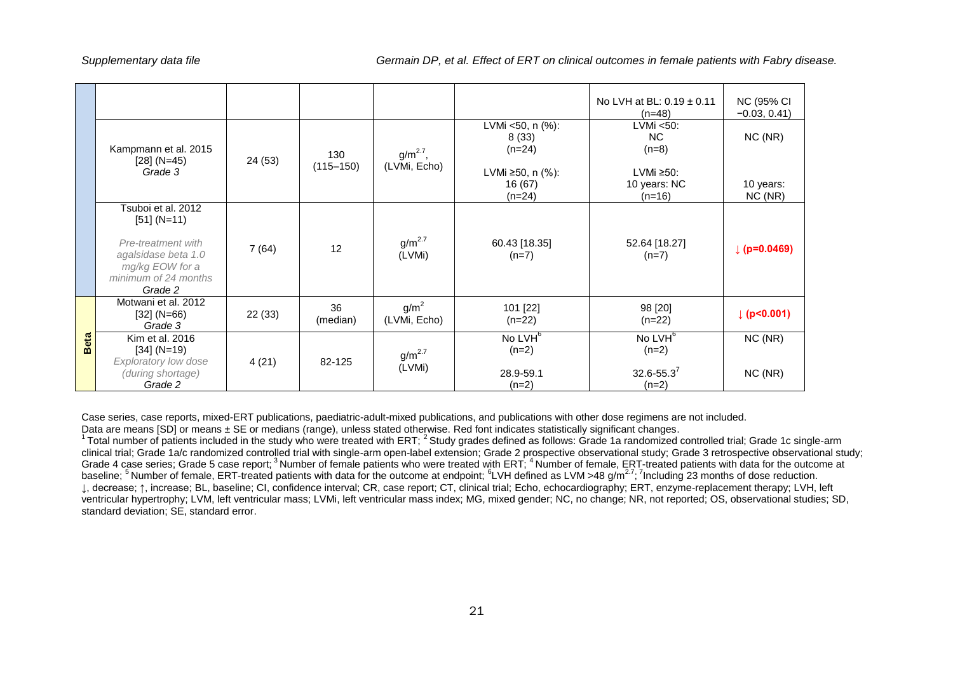|             |                                                                                                                                        |         |                      |                                  |                                                                           | No LVH at BL: $0.19 \pm 0.11$<br>$(n=48)$                               | <b>NC (95% CI</b><br>$-0.03, 0.41$ |
|-------------|----------------------------------------------------------------------------------------------------------------------------------------|---------|----------------------|----------------------------------|---------------------------------------------------------------------------|-------------------------------------------------------------------------|------------------------------------|
|             | Kampmann et al. 2015<br>$[28] (N=45)$<br>Grade 3                                                                                       | 24 (53) | 130<br>$(115 - 150)$ | $g/m^{2.7}$ ,<br>(LVMi, Echo)    | LVMi <50, n (%):<br>8(33)<br>$(n=24)$<br>LVMi ≥50, n $(%$ (%):<br>16 (67) | $LVMi < 50$ :<br>NC.<br>$(n=8)$<br>LVMi ≥50:<br>10 years: NC            | NC(NR)<br>10 years:                |
|             | Tsuboi et al. 2012<br>$[51] (N=11)$<br>Pre-treatment with<br>agalsidase beta 1.0<br>mg/kg EOW for a<br>minimum of 24 months<br>Grade 2 | 7(64)   | 12                   | g/m <sup>2.7</sup><br>(LVMi)     | $(n=24)$<br>60.43 [18.35]<br>$(n=7)$                                      | $(n=16)$<br>52.64 [18.27]<br>$(n=7)$                                    | NC(NR)<br>$\downarrow$ (p=0.0469)  |
|             | Motwani et al. 2012<br>$[32] (N=66)$<br>Grade 3                                                                                        | 22(33)  | 36<br>(median)       | g/m <sup>2</sup><br>(LVMi, Echo) | 101 [22]<br>$(n=22)$                                                      | 98 [20]<br>$(n=22)$                                                     | $ $ (p<0.001)                      |
| <b>Beta</b> | Kim et al. 2016<br>$[34] (N=19)$<br>Exploratory low dose<br>(during shortage)<br>Grade 2                                               | 4(21)   | 82-125               | $g/m^{2.7}$<br>(LVMi)            | No LVH <sup>6</sup><br>$(n=2)$<br>28.9-59.1<br>$(n=2)$                    | No LVH <sup>6</sup><br>$(n=2)$<br>$32.6 - 55.3$ <sup>7</sup><br>$(n=2)$ | NC (NR)<br>NC(NR)                  |

Case series, case reports, mixed-ERT publications, paediatric-adult-mixed publications, and publications with other dose regimens are not included. Data are means [SD] or means ± SE or medians (range), unless stated otherwise. Red font indicates statistically significant changes.

<sup>1</sup>Total number of patients included in the study who were treated with ERT; <sup>2</sup> Study grades defined as follows: Grade 1a randomized controlled trial; Grade 1c single-arm clinical trial; Grade 1a/c randomized controlled trial with single-arm open-label extension; Grade 2 prospective observational study; Grade 3 retrospective observational study; Grade 4 case series; Grade 5 case report; <sup>3</sup>Number of female patients who were treated with ERT; <sup>4</sup>Number of female, ERT-treated patients with data for the outcome at baseline; <sup>5</sup> Number of female, ERT-treated patients with data for the outcome at endpoint; <sup>6</sup>LVH defined as LVM >48 g/m<sup>2.7</sup>; <sup>7</sup>Including 23 months of dose reduction. ↓, decrease; ↑, increase; BL, baseline; CI, confidence interval; CR, case report; CT, clinical trial; Echo, echocardiography; ERT, enzyme-replacement therapy; LVH, left ventricular hypertrophy; LVM, left ventricular mass; LVMi, left ventricular mass index; MG, mixed gender; NC, no change; NR, not reported; OS, observational studies; SD, standard deviation; SE, standard error.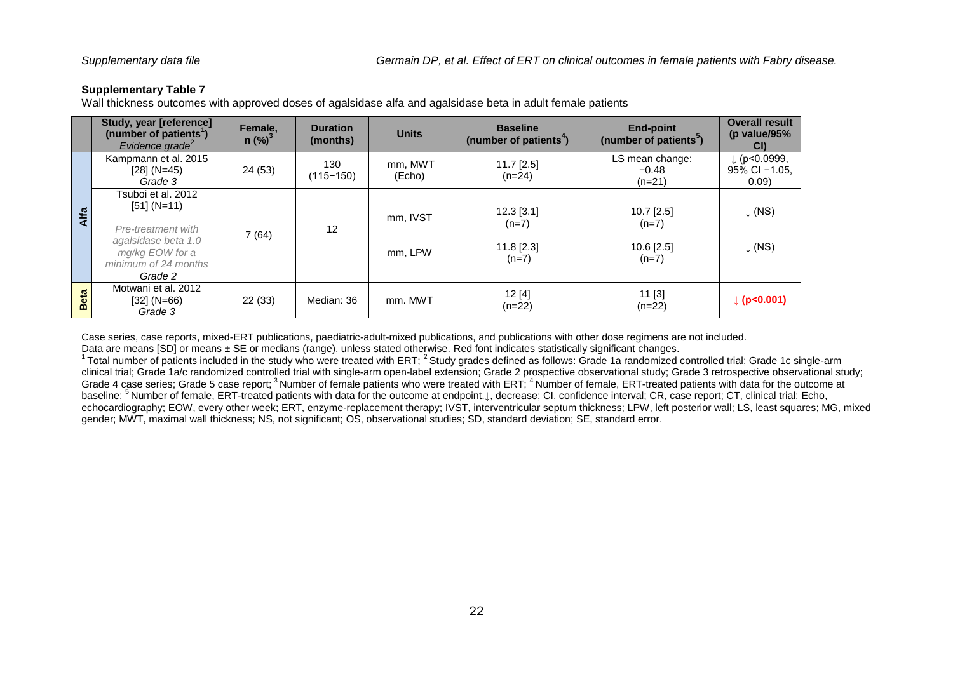<span id="page-21-0"></span>Wall thickness outcomes with approved doses of agalsidase alfa and agalsidase beta in adult female patients

|      | Study, year [reference]<br>(number of patients <sup>1</sup> )<br>Evidence grade <sup>2</sup>                                           | Female,<br>$n$ (%) <sup>3</sup> | <b>Duration</b><br>(months) | <b>Units</b>        | <b>Baseline</b><br>(number of patients <sup>4</sup> ) | <b>End-point</b><br>(number of patients <sup>5</sup> ) | <b>Overall result</b><br>(p value/95%<br>CI)      |
|------|----------------------------------------------------------------------------------------------------------------------------------------|---------------------------------|-----------------------------|---------------------|-------------------------------------------------------|--------------------------------------------------------|---------------------------------------------------|
|      | Kampmann et al. 2015<br>$[28] (N=45)$<br>Grade 3                                                                                       | 24 (53)                         | 130<br>$(115 - 150)$        | mm, MWT<br>(Echo)   | $11.7$ [2.5]<br>$(n=24)$                              | LS mean change:<br>$-0.48$<br>$(n=21)$                 | $\downarrow$ (p<0.0999,<br>95% CI -1.05,<br>0.09) |
| Alfa | Tsuboi et al. 2012<br>$[51] (N=11)$<br>Pre-treatment with<br>agalsidase beta 1.0<br>mg/kg EOW for a<br>minimum of 24 months<br>Grade 2 | 7(64)                           | 12                          | mm, IVST<br>mm. LPW | $12.3$ [3.1]<br>$(n=7)$<br>$11.8$ [2.3]<br>$(n=7)$    | $10.7$ [2.5]<br>$(n=7)$<br>$10.6$ [2.5]<br>$(n=7)$     | $\downarrow$ (NS)<br>$\downarrow$ (NS)            |
| Beta | Motwani et al. 2012<br>$[32] (N=66)$<br>Grade 3                                                                                        | 22(33)                          | Median: 36                  | mm. MWT             | 12[4]<br>$(n=22)$                                     | 11 [3]<br>$(n=22)$                                     | $\downarrow$ (p<0.001)                            |

Case series, case reports, mixed-ERT publications, paediatric-adult-mixed publications, and publications with other dose regimens are not included.

Data are means [SD] or means ± SE or medians (range), unless stated otherwise. Red font indicates statistically significant changes.

Data are means publish means 2 OE of modiums (range), annous called critical constructions continued on the study state of controlled trial; Grade 1c single-arm <sup>1</sup> Total number of patients included in the study who were t clinical trial; Grade 1a/c randomized controlled trial with single-arm open-label extension; Grade 2 prospective observational study; Grade 3 retrospective observational study; Grade 4 case series; Grade 5 case report; <sup>3</sup>Number of female patients who were treated with ERT; <sup>4</sup>Number of female, ERT-treated patients with data for the outcome at baseline; <sup>5</sup>Number of female, ERT-treated patients with data for the outcome at endpoint.↓, decrease; CI, confidence interval; CR, case report; CT, clinical trial; Echo, echocardiography; EOW, every other week; ERT, enzyme-replacement therapy; IVST, interventricular septum thickness; LPW, left posterior wall; LS, least squares; MG, mixed gender; MWT, maximal wall thickness; NS, not significant; OS, observational studies; SD, standard deviation; SE, standard error.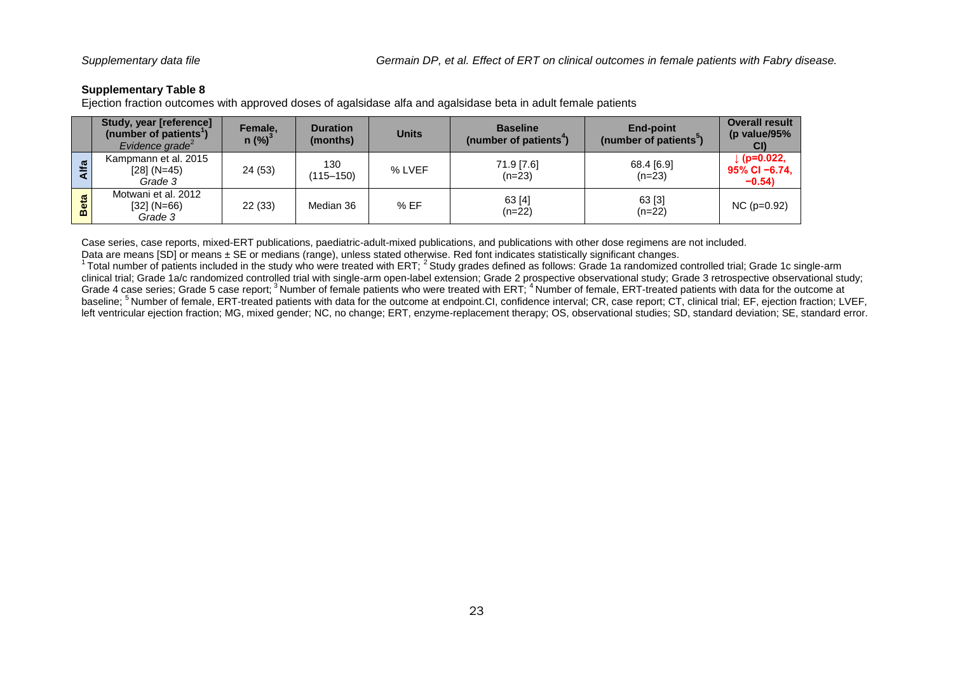<span id="page-22-0"></span>Ejection fraction outcomes with approved doses of agalsidase alfa and agalsidase beta in adult female patients

|                                | Study, year [reference]<br>(number of patients <sup>'</sup> )<br>Evidence grade <sup>2</sup> | Female,<br>$n$ (%) <sup>3</sup> | <b>Duration</b><br>(months) | <b>Units</b> | <b>Baseline</b><br>(number of patients <sup>4</sup> ) | End-point<br>(number of patients <sup>3</sup> ) | <b>Overall result</b><br>(p value/95%<br>CI) |
|--------------------------------|----------------------------------------------------------------------------------------------|---------------------------------|-----------------------------|--------------|-------------------------------------------------------|-------------------------------------------------|----------------------------------------------|
| Alfa                           | Kampmann et al. 2015<br>$[28] (N=45)$<br>Grade 3                                             | 24 (53)                         | 130<br>(115–150)            | % LVEF       | 71.9 [7.6]<br>$(n=23)$                                | 68.4 [6.9]<br>$(n=23)$                          | $(p=0.022,$<br>$95\%$ CI -6.74,<br>$-0.54$   |
| $\overline{\mathbf{a}}$<br>Bet | Motwani et al. 2012<br>[32] (N=66)<br>Grade 3                                                | 22(33)                          | Median 36                   | % EF         | 63 [4]<br>$(n=22)$                                    | 63 [3]<br>$(n=22)$                              | $NC$ ( $p=0.92$ )                            |

Case series, case reports, mixed-ERT publications, paediatric-adult-mixed publications, and publications with other dose regimens are not included.

Data are means [SD] or means ± SE or medians (range), unless stated otherwise. Red font indicates statistically significant changes.

<sup>1</sup> Total number of patients included in the study who were treated with ERT; <sup>2</sup> Study grades defined as follows: Grade 1a randomized controlled trial; Grade 1c single-arm clinical trial; Grade 1a/c randomized controlled trial with single-arm open-label extension; Grade 2 prospective observational study; Grade 3 retrospective observational study; Grade 4 case series; Grade 5 case report;<sup>3</sup> Number of female patients who were treated with ERT;<sup>4</sup> Number of female, ERT-treated patients with data for the outcome at baseline; <sup>5</sup>Number of female, ERT-treated patients with data for the outcome at endpoint.CI, confidence interval; CR, case report; CT, clinical trial; EF, ejection fraction; LVEF, left ventricular ejection fraction; MG, mixed gender; NC, no change; ERT, enzyme-replacement therapy; OS, observational studies; SD, standard deviation; SE, standard error.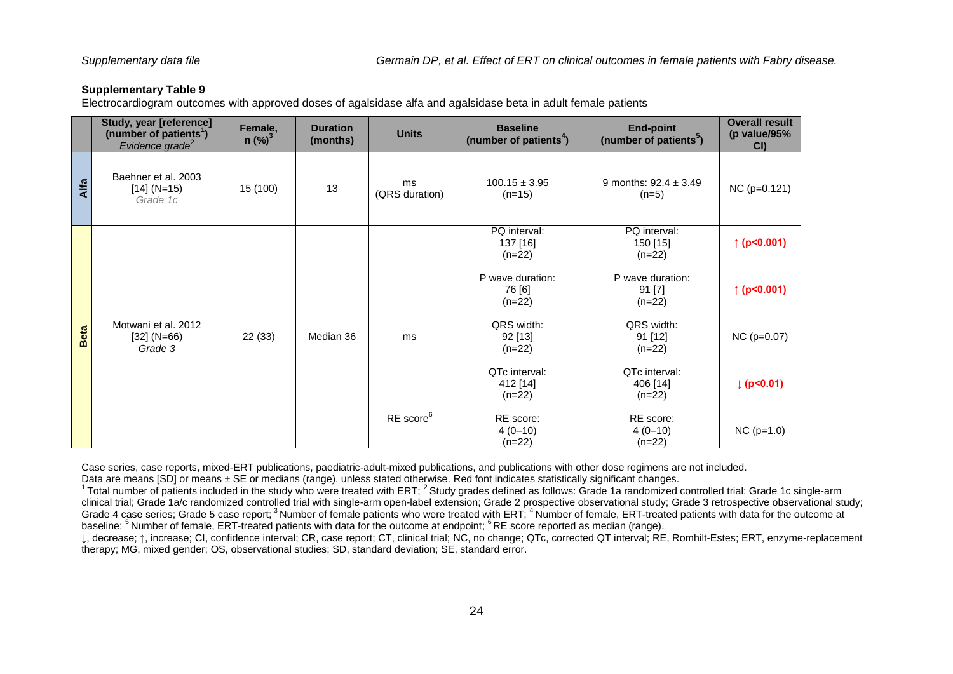<span id="page-23-0"></span>Electrocardiogram outcomes with approved doses of agalsidase alfa and agalsidase beta in adult female patients

|             | Study, year [reference]<br>(number of patients <sup>1</sup> )<br>Evidence grade <sup>2</sup> | Female,<br>$n$ (%) <sup>3</sup> | <b>Duration</b><br>(months) | <b>Units</b>          | <b>Baseline</b><br>(number of patients <sup>4</sup> ) | <b>End-point</b><br>(number of patients <sup>5</sup> ) | <b>Overall result</b><br>(p value/95%<br>CI |
|-------------|----------------------------------------------------------------------------------------------|---------------------------------|-----------------------------|-----------------------|-------------------------------------------------------|--------------------------------------------------------|---------------------------------------------|
| Alfa        | Baehner et al. 2003<br>$[14] (N=15)$<br>Grade 1c                                             | 15 (100)                        | 13                          | ms<br>(QRS duration)  | $100.15 \pm 3.95$<br>$(n=15)$                         | 9 months: $92.4 \pm 3.49$<br>$(n=5)$                   | $NC (p=0.121)$                              |
|             |                                                                                              |                                 |                             |                       | PQ interval:<br>137 [16]<br>$(n=22)$                  | PQ interval:<br>150 [15]<br>$(n=22)$                   | ↑ (p<0.001)                                 |
|             |                                                                                              |                                 |                             |                       | P wave duration:<br>76 [6]<br>$(n=22)$                | P wave duration:<br>91 [7]<br>$(n=22)$                 | ↑ ( $p < 0.001$ )                           |
| <b>Beta</b> | Motwani et al. 2012<br>$[32] (N=66)$<br>Grade 3                                              | 22(33)                          | Median 36                   | ms                    | QRS width:<br>92 [13]<br>$(n=22)$                     | QRS width:<br>91 [12]<br>$(n=22)$                      | $NC$ ( $p=0.07$ )                           |
|             |                                                                                              |                                 |                             |                       | QTc interval:<br>412 [14]<br>$(n=22)$                 | QTc interval:<br>406 [14]<br>$(n=22)$                  | (p<0.01)                                    |
|             |                                                                                              |                                 |                             | RE score <sup>6</sup> | RE score:<br>$4(0-10)$<br>$(n=22)$                    | RE score:<br>$4(0-10)$<br>$(n=22)$                     | $NC (p=1.0)$                                |

Case series, case reports, mixed-ERT publications, paediatric-adult-mixed publications, and publications with other dose regimens are not included.

Data are means  $[SD]$  or means  $\pm$  SE or medians (range), unless stated otherwise. Red font indicates statistically significant changes.

 $1$  Total number of patients included in the study who were treated with ERT;  $2$  Study grades defined as follows: Grade 1a randomized controlled trial; Grade 1c single-arm clinical trial; Grade 1a/c randomized controlled trial with single-arm open-label extension; Grade 2 prospective observational study; Grade 3 retrospective observational study; Grade 4 case series; Grade 5 case report; <sup>3</sup>Number of female patients who were treated with ERT; <sup>4</sup>Number of female, ERT-treated patients with data for the outcome at baseline; <sup>5</sup>Number of female, ERT-treated patients with data for the outcome at endpoint; <sup>6</sup>RE score reported as median (range).

↓, decrease; ↑, increase; CI, confidence interval; CR, case report; CT, clinical trial; NC, no change; QTc, corrected QT interval; RE, Romhilt-Estes; ERT, enzyme-replacement therapy; MG, mixed gender; OS, observational studies; SD, standard deviation; SE, standard error.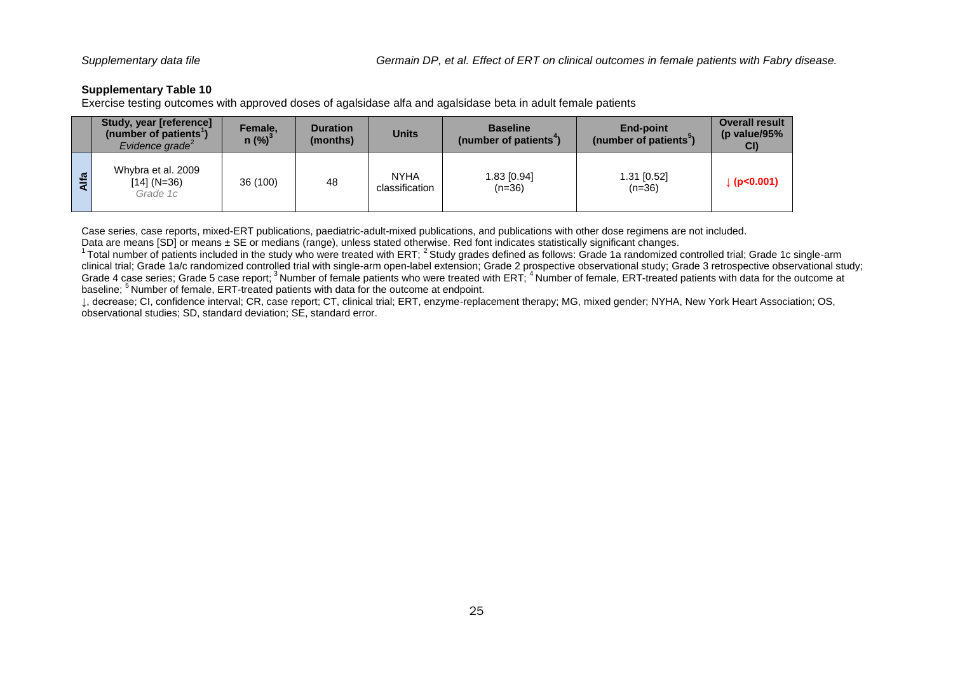<span id="page-24-0"></span>Exercise testing outcomes with approved doses of agalsidase alfa and agalsidase beta in adult female patients

|              | <b>Study, year [reference]</b><br>(number of patients')<br>Evidence grade $\epsilon$ | Female,<br>$n$ (%) <sup>3</sup> | <b>Duration</b><br>(months) | <b>Units</b>                  | <b>Baseline</b><br>(number of patients <sup>4</sup> ) | <b>End-point</b><br>(number of patients <sup>3</sup> ) | <b>Overall result</b><br>(p value/95%<br>CI |
|--------------|--------------------------------------------------------------------------------------|---------------------------------|-----------------------------|-------------------------------|-------------------------------------------------------|--------------------------------------------------------|---------------------------------------------|
| $\mathbf{E}$ | Whybra et al. 2009<br>$[14] (N=36)$<br>Grade 1c                                      | 36 (100)                        | 48                          | <b>NYHA</b><br>classification | 1.83 [0.94]<br>$(n=36)$                               | 1.31 [0.52]<br>$(n=36)$                                | (p< 0.001)                                  |

Case series, case reports, mixed-ERT publications, paediatric-adult-mixed publications, and publications with other dose regimens are not included.

Data are means [SD] or means ± SE or medians (range), unless stated otherwise. Red font indicates statistically significant changes.

 $1$  Total number of patients included in the study who were treated with ERT;  $2$  Study grades defined as follows: Grade 1a randomized controlled trial; Grade 1c single-arm clinical trial; Grade 1a/c randomized controlled trial with single-arm open-label extension; Grade 2 prospective observational study; Grade 3 retrospective observational study; Grade 4 case series; Grade 5 case report; <sup>3</sup> Number of female patients who were treated with ERT; <sup>4</sup> Number of female, ERT-treated patients with data for the outcome at baseline; <sup>5</sup> Number of female, ERT-treated patients with data for the outcome at endpoint.

↓, decrease; CI, confidence interval; CR, case report; CT, clinical trial; ERT, enzyme-replacement therapy; MG, mixed gender; NYHA, New York Heart Association; OS, observational studies; SD, standard deviation; SE, standard error.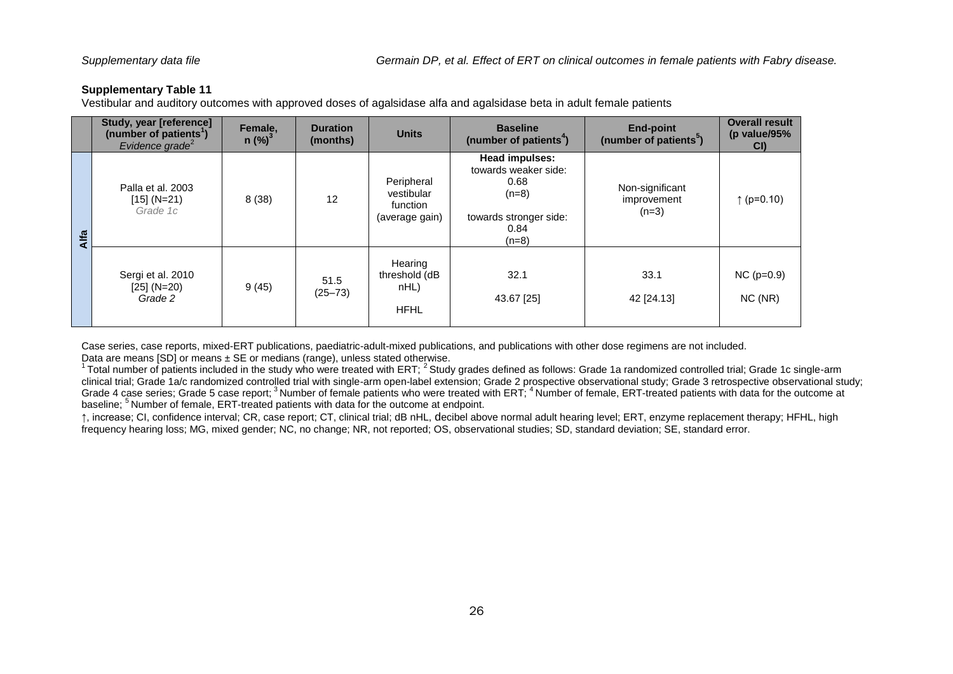<span id="page-25-0"></span>Vestibular and auditory outcomes with approved doses of agalsidase alfa and agalsidase beta in adult female patients

|               | Study, year [reference]<br>(number of patients <sup>1</sup> )<br>Evidence grade <sup>2</sup> | Female,<br>$n$ (%) <sup>3</sup> | <b>Duration</b><br>(months) | <b>Units</b>                                           | <b>Baseline</b><br>(number of patients <sup>4</sup> )                                                  | <b>End-point</b><br>(number of patients <sup>5</sup> ) | <b>Overall result</b><br>(p value/95%<br>CI) |
|---------------|----------------------------------------------------------------------------------------------|---------------------------------|-----------------------------|--------------------------------------------------------|--------------------------------------------------------------------------------------------------------|--------------------------------------------------------|----------------------------------------------|
| <b>E</b><br>⋖ | Palla et al. 2003<br>$[15] (N=21)$<br>Grade 1c                                               | 8(38)                           | 12                          | Peripheral<br>vestibular<br>function<br>(average gain) | Head impulses:<br>towards weaker side:<br>0.68<br>$(n=8)$<br>towards stronger side:<br>0.84<br>$(n=8)$ | Non-significant<br>improvement<br>$(n=3)$              | ↑ ( $p=0.10$ )                               |
|               | Sergi et al. 2010<br>$[25] (N=20)$<br>Grade 2                                                | 9(45)                           | 51.5<br>$(25 - 73)$         | Hearing<br>threshold (dB<br>nHL)<br><b>HFHL</b>        | 32.1<br>43.67 [25]                                                                                     | 33.1<br>42 [24.13]                                     | $NC (p=0.9)$<br>NC(NR)                       |

Case series, case reports, mixed-ERT publications, paediatric-adult-mixed publications, and publications with other dose regimens are not included. Data are means [SD] or means ± SE or medians (range), unless stated otherwise.

<sup>1</sup> Total number of patients included in the study who were treated with ERT;  $^2$  Study grades defined as follows: Grade 1a randomized controlled trial; Grade 1c single-arm clinical trial; Grade 1a/c randomized controlled trial with single-arm open-label extension; Grade 2 prospective observational study; Grade 3 retrospective observational study; Grade 4 case series; Grade 5 case report; <sup>3</sup> Number of female patients who were treated with ERT; <sup>4</sup> Number of female, ERT-treated patients with data for the outcome at baseline; <sup>5</sup> Number of female, ERT-treated patients with data for the outcome at endpoint.

↑, increase; CI, confidence interval; CR, case report; CT, clinical trial; dB nHL, decibel above normal adult hearing level; ERT, enzyme replacement therapy; HFHL, high frequency hearing loss; MG, mixed gender; NC, no change; NR, not reported; OS, observational studies; SD, standard deviation; SE, standard error.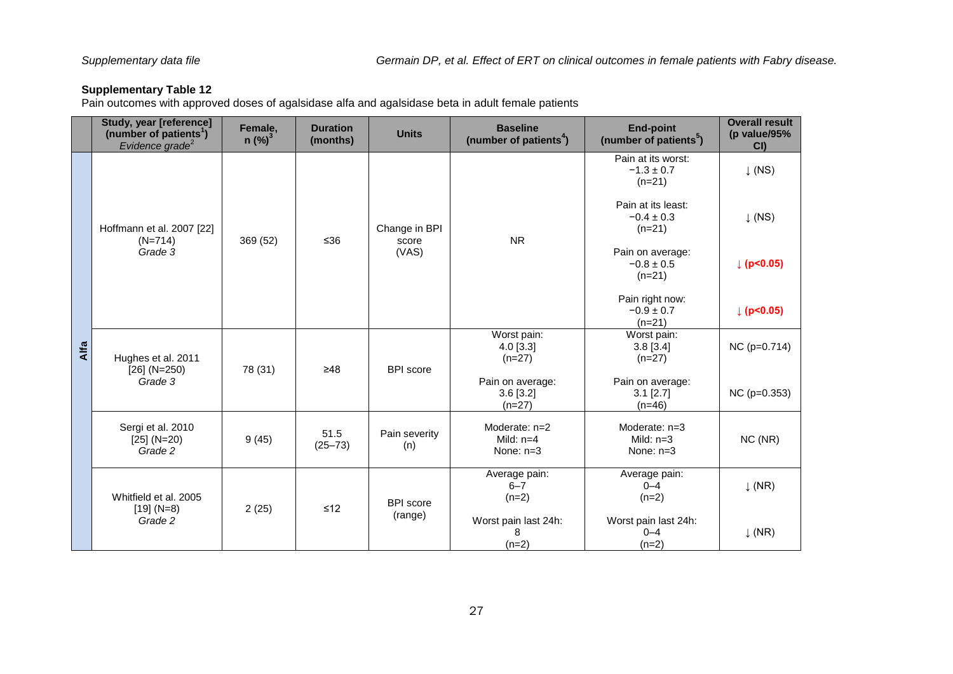<span id="page-26-0"></span>Pain outcomes with approved doses of agalsidase alfa and agalsidase beta in adult female patients

|      | Study, year [reference]<br>(number of patients <sup>1</sup> )<br>Evidence grade <sup>2</sup> | Female,<br>$n$ (%) <sup>3</sup> | <b>Duration</b><br>(months) | <b>Units</b>                                  | <b>Baseline</b><br>(number of patients <sup>4</sup> )                                                                              | <b>End-point</b><br>(number of patients <sup>5</sup> ) | <b>Overall result</b><br>(p value/95%<br>CI |
|------|----------------------------------------------------------------------------------------------|---------------------------------|-----------------------------|-----------------------------------------------|------------------------------------------------------------------------------------------------------------------------------------|--------------------------------------------------------|---------------------------------------------|
|      | Hoffmann et al. 2007 [22]                                                                    |                                 |                             |                                               | Pain at its worst:<br>$-1.3 \pm 0.7$<br>$(n=21)$<br>Pain at its least:<br>$-0.4 \pm 0.3$<br>Change in BPI<br>$(n=21)$<br><b>NR</b> |                                                        | $\downarrow$ (NS)                           |
|      |                                                                                              | 369 (52)                        | $≤36$                       | score                                         |                                                                                                                                    |                                                        | $\downarrow$ (NS)                           |
|      | $(N=714)$<br>Grade 3                                                                         |                                 |                             | (VAS)                                         |                                                                                                                                    | Pain on average:<br>$-0.8 \pm 0.5$<br>$(n=21)$         | p  < 0.05                                   |
|      |                                                                                              |                                 |                             | Pain right now:<br>$-0.9 \pm 0.7$<br>$(n=21)$ | p  < 0.05                                                                                                                          |                                                        |                                             |
| Alfa | Hughes et al. 2011<br>$[26]$ (N=250)                                                         | 78 (31)                         | $\geq 48$                   | <b>BPI</b> score                              | Worst pain:<br>$4.0$ [3.3]<br>$(n=27)$                                                                                             | Worst pain:<br>$3.8$ [ $3.4$ ]<br>$(n=27)$             | $NC (p=0.714)$                              |
|      | Grade 3                                                                                      |                                 |                             |                                               | Pain on average:<br>$3.6$ [ $3.2$ ]<br>$(n=27)$                                                                                    | Pain on average:<br>$3.1$ [ $2.7$ ]<br>$(n=46)$        | $NC$ ( $p=0.353$ )                          |
|      | Sergi et al. 2010<br>$[25] (N=20)$<br>Grade 2                                                | 9(45)                           | 51.5<br>$(25 - 73)$         | Pain severity<br>(n)                          | Moderate: $n=2$<br>Mild: $n=4$<br>None: $n=3$                                                                                      | Moderate: $n=3$<br>Mild: $n=3$<br>None: $n=3$          | NC (NR)                                     |
|      | Whitfield et al. 2005                                                                        | 2(25)                           | $≤12$                       | <b>BPI</b> score                              | Average pain:<br>Average pain:<br>$6 - 7$<br>$0 - 4$<br>$(n=2)$<br>$(n=2)$                                                         |                                                        | $\downarrow$ (NR)                           |
|      | $[19] (N=8)$<br>Grade 2                                                                      |                                 |                             | (range)                                       | Worst pain last 24h:<br>8<br>$(n=2)$                                                                                               | Worst pain last 24h:<br>$0 - 4$<br>$(n=2)$             | $\downarrow$ (NR)                           |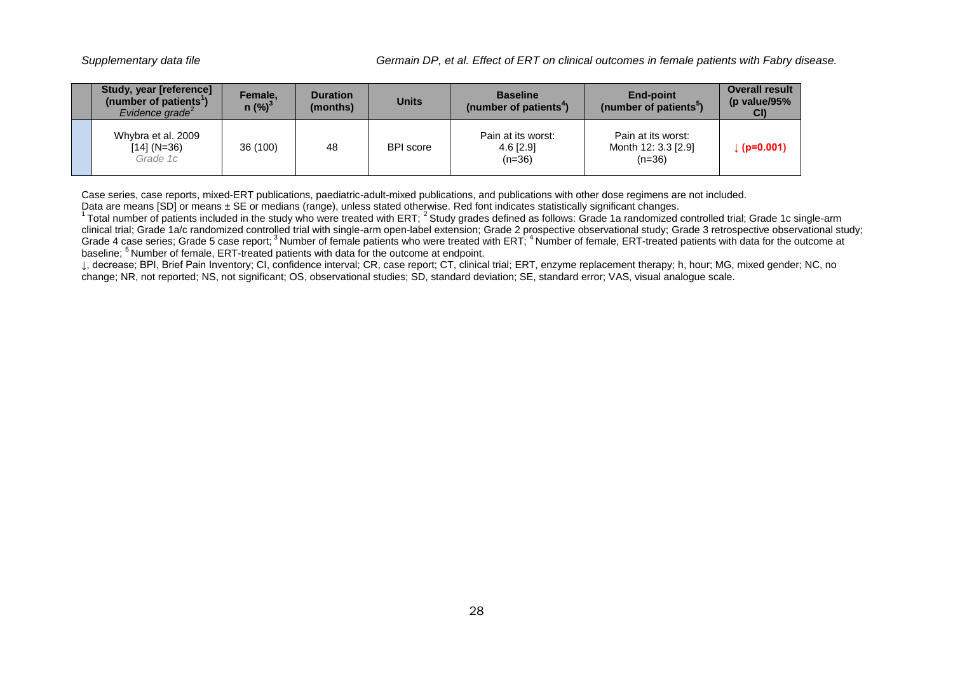| Study, year [reference]<br>(number of patients <sup>1</sup> )<br>Evidence grade <sup><math>2</math></sup> | Female.<br>$n$ (%) <sup>3</sup> | <b>Duration</b><br>(months) | <b>Units</b>     | <b>Baseline</b><br>(number of patients <sup>4</sup> ) | <b>End-point</b><br>(number of patients <sup>3</sup> ) | <b>Overall result</b><br>(p value/95 $%$<br>CI) |
|-----------------------------------------------------------------------------------------------------------|---------------------------------|-----------------------------|------------------|-------------------------------------------------------|--------------------------------------------------------|-------------------------------------------------|
| Whybra et al. 2009<br>$[14] (N=36)$<br>Grade 1c                                                           | 36 (100)                        | 48                          | <b>BPI</b> score | Pain at its worst:<br>$4.6$ [2.9]<br>$(n=36)$         | Pain at its worst:<br>Month 12: 3.3 [2.9]<br>$(n=36)$  | $(p=0.001)$                                     |

Case series, case reports, mixed-ERT publications, paediatric-adult-mixed publications, and publications with other dose regimens are not included. Data are means [SD] or means ± SE or medians (range), unless stated otherwise. Red font indicates statistically significant changes.

 $^1$ Total number of patients included in the study who were treated with ERT;  $^2$  Study grades defined as follows: Grade 1a randomized controlled trial; Grade 1c single-arm clinical trial; Grade 1a/c randomized controlled trial with single-arm open-label extension; Grade 2 prospective observational study; Grade 3 retrospective observational study; Grade 4 case series; Grade 5 case report; <sup>3</sup>Number of female patients who were treated with ERT; <sup>4</sup>Number of female, ERT-treated patients with data for the outcome at baseline; <sup>5</sup>Number of female, ERT-treated patients with data for the outcome at endpoint.

↓, decrease; BPI, Brief Pain Inventory; CI, confidence interval; CR, case report; CT, clinical trial; ERT, enzyme replacement therapy; h, hour; MG, mixed gender; NC, no change; NR, not reported; NS, not significant; OS, observational studies; SD, standard deviation; SE, standard error; VAS, visual analogue scale.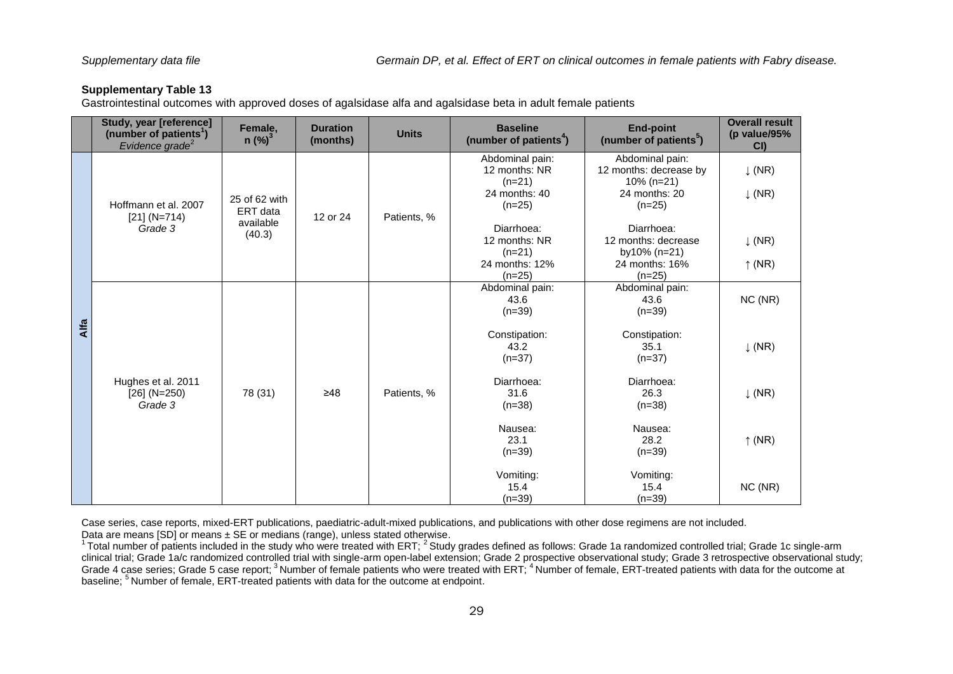<span id="page-28-0"></span>Gastrointestinal outcomes with approved doses of agalsidase alfa and agalsidase beta in adult female patients

|      | Study, year [reference]<br>(number of patients <sup>1</sup> )<br>Evidence grade <sup>2</sup> | Female,<br>$n$ (%) <sup>3</sup> | <b>Duration</b><br>(months) | <b>Units</b>                                 | <b>Baseline</b><br>(number of patients <sup>4</sup> )                                                                      | <b>End-point</b><br>(number of patients <sup>3</sup> ) | <b>Overall result</b><br>(p value/95%<br>CI |
|------|----------------------------------------------------------------------------------------------|---------------------------------|-----------------------------|----------------------------------------------|----------------------------------------------------------------------------------------------------------------------------|--------------------------------------------------------|---------------------------------------------|
|      | Hoffmann et al. 2007                                                                         |                                 |                             | Abdominal pain:<br>12 months: NR<br>$(n=21)$ | Abdominal pain:<br>12 months: decrease by<br>$10\% (n=21)$                                                                 | $\downarrow$ (NR)                                      |                                             |
|      |                                                                                              | 25 of 62 with<br>ERT data       | 12 or 24                    | Patients, %                                  | 24 months: 40<br>24 months: 20<br>$(n=25)$<br>$(n=25)$<br>Diarrhoea:<br>Diarrhoea:<br>12 months: NR<br>12 months: decrease | $\downarrow$ (NR)                                      |                                             |
|      | $[21] (N=714)$<br>Grade 3                                                                    | available<br>(40.3)             |                             |                                              |                                                                                                                            | $\downarrow$ (NR)                                      |                                             |
|      |                                                                                              |                                 |                             |                                              | $(n=21)$<br>24 months: 12%                                                                                                 | by10% (n=21)<br>24 months: 16%                         | $\uparrow$ (NR)                             |
|      |                                                                                              |                                 |                             |                                              | $(n=25)$                                                                                                                   | $(n=25)$                                               |                                             |
|      |                                                                                              |                                 |                             |                                              | Abdominal pain:<br>Abdominal pain:<br>43.6<br>43.6<br>$(n=39)$<br>$(n=39)$                                                 | NC (NR)                                                |                                             |
| Alfa |                                                                                              |                                 |                             |                                              | Constipation:<br>43.2<br>$(n=37)$                                                                                          | Constipation:<br>35.1<br>$(n=37)$                      | $\downarrow$ (NR)                           |
|      | Hughes et al. 2011<br>$[26]$ (N=250)<br>Grade 3                                              | 78 (31)                         | $\geq 48$                   | Patients, %                                  | Diarrhoea:<br>31.6<br>$(n=38)$                                                                                             | Diarrhoea:<br>26.3<br>$(n=38)$                         | $\downarrow$ (NR)                           |
|      |                                                                                              |                                 | Nausea:<br>23.1<br>$(n=39)$ | Nausea:<br>28.2<br>$(n=39)$                  | $\uparrow$ (NR)                                                                                                            |                                                        |                                             |
|      |                                                                                              |                                 |                             | Vomiting:<br>15.4<br>$(n=39)$                | Vomiting:<br>15.4<br>$(n=39)$                                                                                              | NC (NR)                                                |                                             |

Case series, case reports, mixed-ERT publications, paediatric-adult-mixed publications, and publications with other dose regimens are not included. Data are means [SD] or means ± SE or medians (range), unless stated otherwise.

 $1$  Total number of patients included in the study who were treated with ERT;  $2$  Study grades defined as follows: Grade 1a randomized controlled trial; Grade 1c single-arm clinical trial; Grade 1a/c randomized controlled trial with single-arm open-label extension; Grade 2 prospective observational study; Grade 3 retrospective observational study; Grade 4 case series; Grade 5 case report; <sup>3</sup> Number of female patients who were treated with ERT; <sup>4</sup> Number of female, ERT-treated patients with data for the outcome at baseline; <sup>5</sup>Number of female, ERT-treated patients with data for the outcome at endpoint.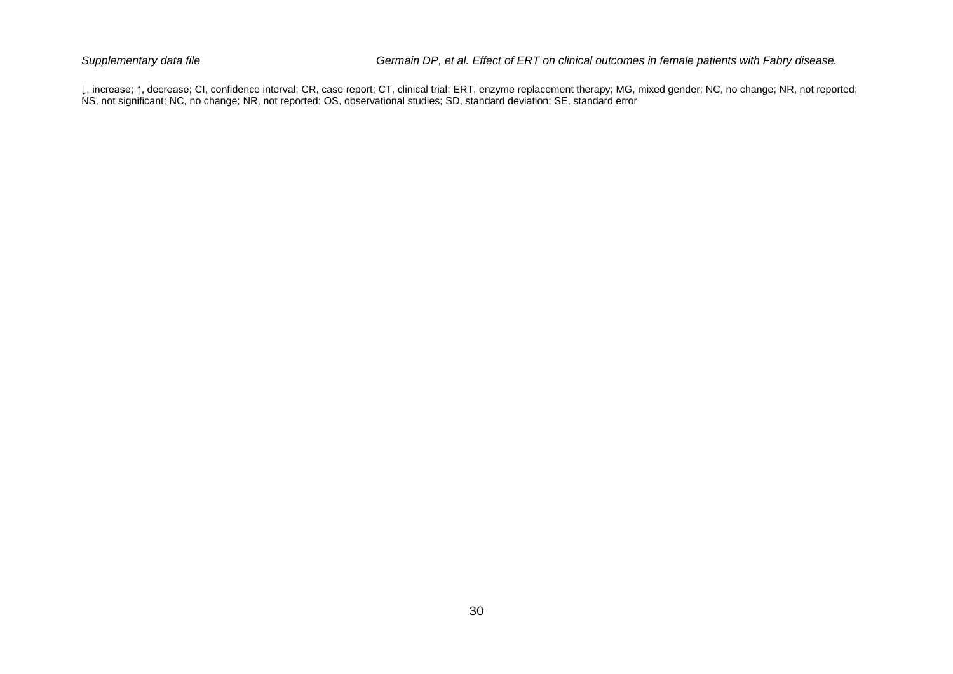↓, increase; ↑, decrease; CI, confidence interval; CR, case report; CT, clinical trial; ERT, enzyme replacement therapy; MG, mixed gender; NC, no change; NR, not reported; NS, not significant; NC, no change; NR, not reported; OS, observational studies; SD, standard deviation; SE, standard error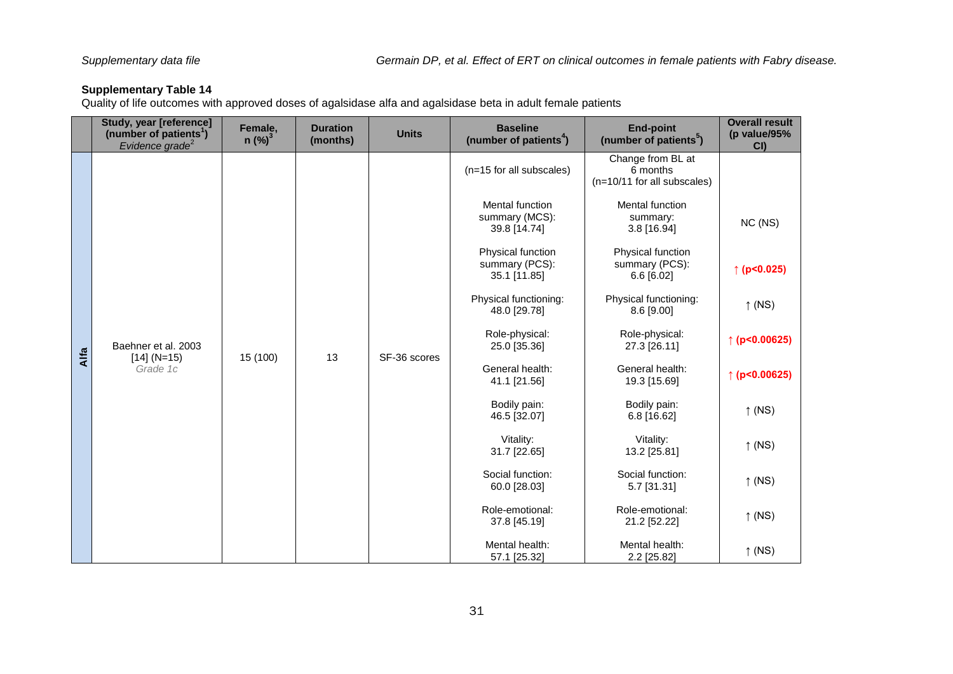<span id="page-30-0"></span>Quality of life outcomes with approved doses of agalsidase alfa and agalsidase beta in adult female patients

|      | Study, year [reference]<br>(number of patients <sup>1</sup> )<br>Evidence grade <sup>2</sup> | Female,<br>$n$ (%) <sup>3</sup> | <b>Duration</b><br>(months) | <b>Units</b>                    | <b>Baseline</b><br>(number of patients <sup>4</sup> )    | <b>End-point</b><br>(number of patients <sup>5</sup> )       | <b>Overall result</b><br>(p value/95%<br>CI |
|------|----------------------------------------------------------------------------------------------|---------------------------------|-----------------------------|---------------------------------|----------------------------------------------------------|--------------------------------------------------------------|---------------------------------------------|
|      |                                                                                              |                                 |                             |                                 | (n=15 for all subscales)                                 | Change from BL at<br>6 months<br>(n=10/11 for all subscales) |                                             |
|      |                                                                                              |                                 |                             |                                 | <b>Mental function</b><br>summary (MCS):<br>39.8 [14.74] | Mental function<br>summary:<br>3.8 [16.94]                   | NC (NS)                                     |
|      |                                                                                              |                                 |                             |                                 | Physical function<br>summary (PCS):<br>35.1 [11.85]      | Physical function<br>summary (PCS):<br>$6.6$ [6.02]          | ↑ ( $p < 0.025$ )                           |
|      |                                                                                              |                                 |                             |                                 | Physical functioning:<br>48.0 [29.78]                    | Physical functioning:<br>8.6 [9.00]                          | $\uparrow$ (NS)                             |
| Alfa | Baehner et al. 2003                                                                          | 15 (100)                        | 13                          | SF-36 scores                    | Role-physical:<br>25.0 [35.36]                           | Role-physical:<br>27.3 [26.11]                               | $\uparrow$ (p<0.00625)                      |
|      | $[14] (N=15)$<br>Grade 1c                                                                    |                                 |                             |                                 | General health:<br>41.1 [21.56]                          | General health:<br>19.3 [15.69]                              | $\uparrow$ (p<0.00625)                      |
|      |                                                                                              |                                 |                             |                                 | Bodily pain:<br>46.5 [32.07]                             | Bodily pain:<br>$6.8$ [16.62]                                | $\uparrow$ (NS)                             |
|      |                                                                                              |                                 |                             |                                 | Vitality:<br>31.7 [22.65]                                | Vitality:<br>13.2 [25.81]                                    | $\uparrow$ (NS)                             |
|      |                                                                                              |                                 |                             |                                 | Social function:<br>60.0 [28.03]                         | Social function:<br>5.7 [31.31]                              | $\uparrow$ (NS)                             |
|      |                                                                                              |                                 |                             | Role-emotional:<br>37.8 [45.19] | Role-emotional:<br>21.2 [52.22]                          | $\uparrow$ (NS)                                              |                                             |
|      |                                                                                              |                                 |                             |                                 | Mental health:<br>57.1 [25.32]                           | Mental health:<br>2.2 [25.82]                                | $\uparrow$ (NS)                             |